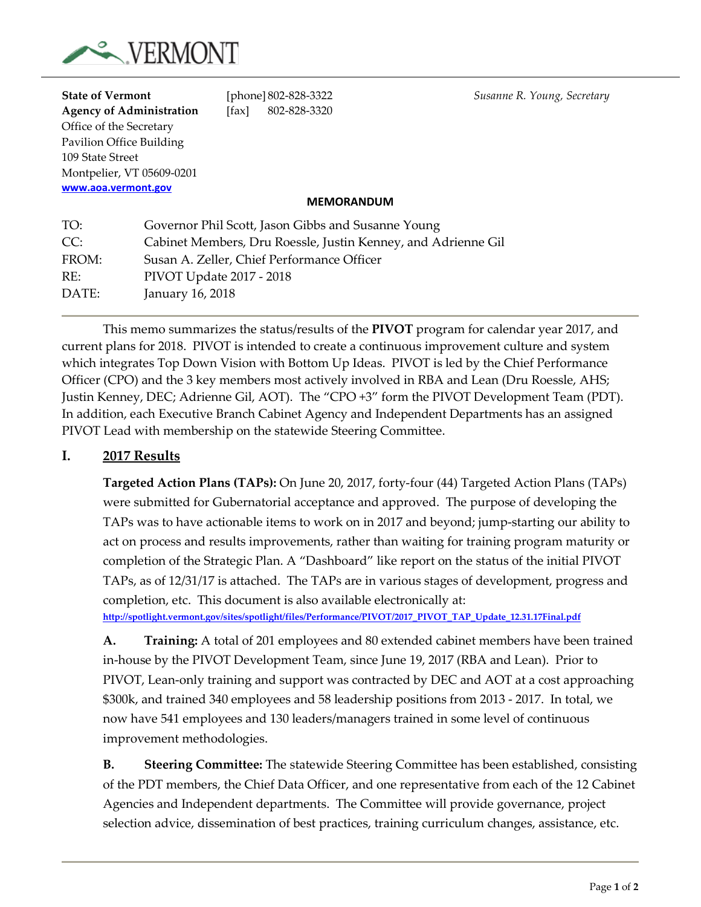

| <b>State of Vermont</b>         |                          |       | [phone] 802-828-3322                               |                                                               | Susanne R. Young, Secretary |  |
|---------------------------------|--------------------------|-------|----------------------------------------------------|---------------------------------------------------------------|-----------------------------|--|
| <b>Agency of Administration</b> |                          | [fax] | 802-828-3320                                       |                                                               |                             |  |
| Office of the Secretary         |                          |       |                                                    |                                                               |                             |  |
| Pavilion Office Building        |                          |       |                                                    |                                                               |                             |  |
| 109 State Street                |                          |       |                                                    |                                                               |                             |  |
| Montpelier, VT 05609-0201       |                          |       |                                                    |                                                               |                             |  |
| www.aoa.vermont.gov             |                          |       |                                                    |                                                               |                             |  |
|                                 |                          |       | <b>MEMORANDUM</b>                                  |                                                               |                             |  |
| TO:                             |                          |       | Governor Phil Scott, Jason Gibbs and Susanne Young |                                                               |                             |  |
| CC:                             |                          |       |                                                    | Cabinet Members, Dru Roessle, Justin Kenney, and Adrienne Gil |                             |  |
| FROM:                           |                          |       | Susan A. Zeller, Chief Performance Officer         |                                                               |                             |  |
| RE:                             | PIVOT Update 2017 - 2018 |       |                                                    |                                                               |                             |  |
| DATE:                           | January 16, 2018         |       |                                                    |                                                               |                             |  |

This memo summarizes the status/results of the **PIVOT** program for calendar year 2017, and current plans for 2018. PIVOT is intended to create a continuous improvement culture and system which integrates Top Down Vision with Bottom Up Ideas. PIVOT is led by the Chief Performance Officer (CPO) and the 3 key members most actively involved in RBA and Lean (Dru Roessle, AHS; Justin Kenney, DEC; Adrienne Gil, AOT). The "CPO +3" form the PIVOT Development Team (PDT). In addition, each Executive Branch Cabinet Agency and Independent Departments has an assigned PIVOT Lead with membership on the statewide Steering Committee.

#### **I. 2017 Results**

**Targeted Action Plans (TAPs):** On June 20, 2017, forty-four (44) Targeted Action Plans (TAPs) were submitted for Gubernatorial acceptance and approved. The purpose of developing the TAPs was to have actionable items to work on in 2017 and beyond; jump-starting our ability to act on process and results improvements, rather than waiting for training program maturity or completion of the Strategic Plan. A "Dashboard" like report on the status of the initial PIVOT TAPs, as of 12/31/17 is attached. The TAPs are in various stages of development, progress and completion, etc. This document is also available electronically at:

**[http://spotlight.vermont.gov/sites/spotlight/files/Performance/PIVOT/2017\\_PIVOT\\_TAP\\_Update\\_12.31.17Final.pdf](http://spotlight.vermont.gov/sites/spotlight/files/Performance/PIVOT/2017_PIVOT_TAP_Update_12.31.17Final.pdf)**

**A. Training:** A total of 201 employees and 80 extended cabinet members have been trained in-house by the PIVOT Development Team, since June 19, 2017 (RBA and Lean). Prior to PIVOT, Lean-only training and support was contracted by DEC and AOT at a cost approaching \$300k, and trained 340 employees and 58 leadership positions from 2013 - 2017. In total, we now have 541 employees and 130 leaders/managers trained in some level of continuous improvement methodologies.

**B. Steering Committee:** The statewide Steering Committee has been established, consisting of the PDT members, the Chief Data Officer, and one representative from each of the 12 Cabinet Agencies and Independent departments. The Committee will provide governance, project selection advice, dissemination of best practices, training curriculum changes, assistance, etc.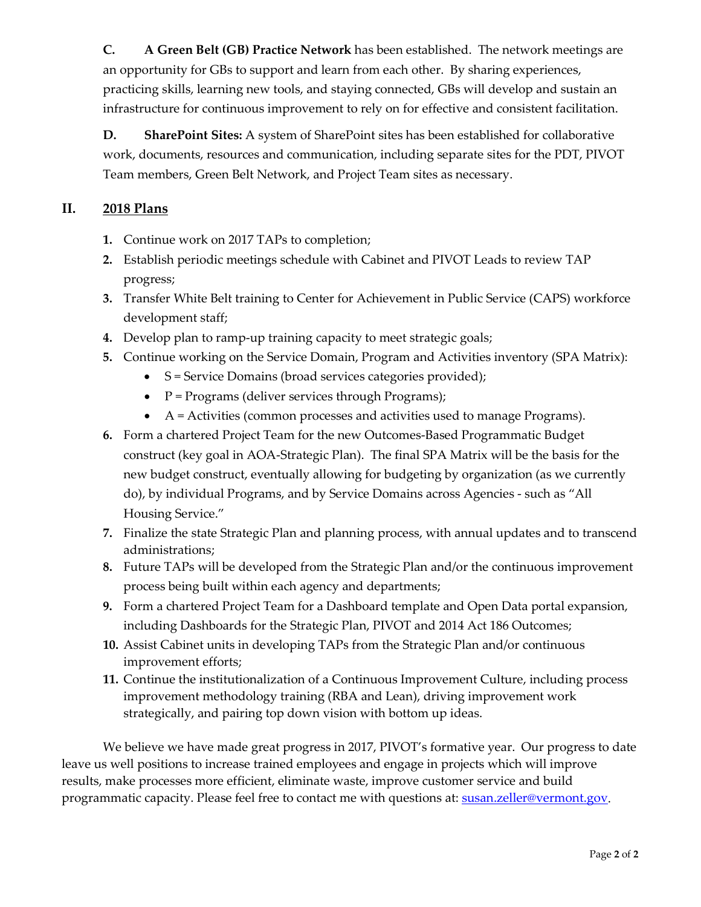**C. A Green Belt (GB) Practice Network** has been established. The network meetings are an opportunity for GBs to support and learn from each other. By sharing experiences, practicing skills, learning new tools, and staying connected, GBs will develop and sustain an infrastructure for continuous improvement to rely on for effective and consistent facilitation.

**D. SharePoint Sites:** A system of SharePoint sites has been established for collaborative work, documents, resources and communication, including separate sites for the PDT, PIVOT Team members, Green Belt Network, and Project Team sites as necessary.

#### **II. 2018 Plans**

- **1.** Continue work on 2017 TAPs to completion;
- **2.** Establish periodic meetings schedule with Cabinet and PIVOT Leads to review TAP progress;
- **3.** Transfer White Belt training to Center for Achievement in Public Service (CAPS) workforce development staff;
- **4.** Develop plan to ramp-up training capacity to meet strategic goals;
- **5.** Continue working on the Service Domain, Program and Activities inventory (SPA Matrix):
	- S = Service Domains (broad services categories provided);
	- $P = Programs$  (deliver services through Programs);
	- $\bullet$  A = Activities (common processes and activities used to manage Programs).
- **6.** Form a chartered Project Team for the new Outcomes-Based Programmatic Budget construct (key goal in AOA-Strategic Plan). The final SPA Matrix will be the basis for the new budget construct, eventually allowing for budgeting by organization (as we currently do), by individual Programs, and by Service Domains across Agencies - such as "All Housing Service."
- **7.** Finalize the state Strategic Plan and planning process, with annual updates and to transcend administrations;
- **8.** Future TAPs will be developed from the Strategic Plan and/or the continuous improvement process being built within each agency and departments;
- **9.** Form a chartered Project Team for a Dashboard template and Open Data portal expansion, including Dashboards for the Strategic Plan, PIVOT and 2014 Act 186 Outcomes;
- **10.** Assist Cabinet units in developing TAPs from the Strategic Plan and/or continuous improvement efforts;
- **11.** Continue the institutionalization of a Continuous Improvement Culture, including process improvement methodology training (RBA and Lean), driving improvement work strategically, and pairing top down vision with bottom up ideas.

We believe we have made great progress in 2017, PIVOT's formative year. Our progress to date leave us well positions to increase trained employees and engage in projects which will improve results, make processes more efficient, eliminate waste, improve customer service and build programmatic capacity. Please feel free to contact me with questions at: [susan.zeller@vermont.gov.](mailto:susan.zeller@vermont.gov)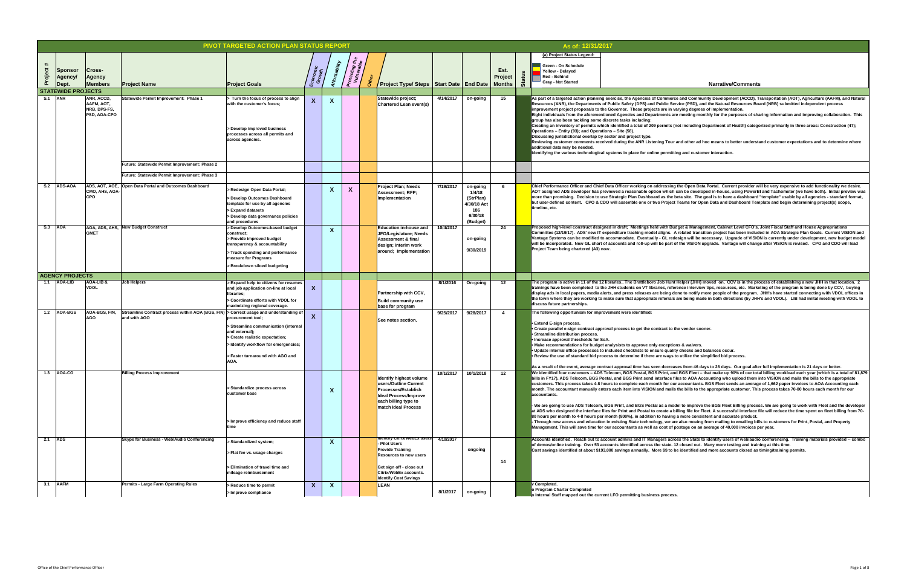**4/14/2017 on-going 15 As part of a targeted action planning exercise, the Agencies of Commerce and Community Development (ACCD), Transportation (AOT), Agriculture (AAFM), and Natural**  rvice (PSD), and the Natural Resources Board (NRB) submitted independent process **improproposet implementation.** 

**Eight individuals individuals individuals individuals individuals and improving collaboration. This image 1**: Pu

**Combig and including Department of Health) categorized primarily in three areas: Construction (47); \,** 

and other ad hoc means to better understand customer expectations and to determine where

**ng and customer interaction.** 

the Open Data Portal. Current provider will be very expensive to add functionality we desire. can be developed in-house, using PowerBI and Tachometer (we have both). Initial preview was beta site. The goal is to have a dashboard "template" usable by all agencies - standard format, Teams for Open Data and Dashboard Template and begin determining project(s) scope,

**Proposed & Management, Cabinet Level CFO's, Joint Fiscal Staff and House Appropriations** related transition project has been included in AOA Strategic Plan Goals. Current VISION and esign will be necessary. Upgrade of VISION is currently under development, new budget model f the VISION upgrade. Vantage will change after VISION is revised. CPO and CDO will lead

Helper (JHH) moved on, CCV is in the process of establishing a new JHH in that location. 2 ence interview tips, resources, etc. Marketing of the program is being done by CCV, buying one to notify more people of the program. JHH's have started connecting with VDOL offices in are being made in both directions (by JHH's and VDOL). LIB had iniital meeting with VDOL to

**e** vendor sooner.

**ns & waivers. • Checks and balances occur. utilize the simplified bid process.** 

**- Through new access and education in existing State technology, we are also moving from mailing to emailing bills to customers for Print, Postal, and Property**  ostage on an average of 40,000 invoices per year.

**Acabe is an** Indentify users of web/audio conferencing. Training materials provided -- combo **belahe ident oper 13 and 53 and 33 and 13 across the state. 22 closed out. Many more testing and training at this time. identified and more accounts closed as timing/training permits.** 

|                           |                                            |                                                                 |                                                                                                        | <b>PIVOT TARGETED ACTION PLAN STATUS REPORT</b>                                                                                                                                                         |                    |                        |                                         |                                                                                                                                                                              |           |                                                                              |                                  |          | As of: 12/31/2017                                                                                                                                                                                                                                                                                                                                                                                                                                                                                                                                                                                                                                                                                                                                                           |
|---------------------------|--------------------------------------------|-----------------------------------------------------------------|--------------------------------------------------------------------------------------------------------|---------------------------------------------------------------------------------------------------------------------------------------------------------------------------------------------------------|--------------------|------------------------|-----------------------------------------|------------------------------------------------------------------------------------------------------------------------------------------------------------------------------|-----------|------------------------------------------------------------------------------|----------------------------------|----------|-----------------------------------------------------------------------------------------------------------------------------------------------------------------------------------------------------------------------------------------------------------------------------------------------------------------------------------------------------------------------------------------------------------------------------------------------------------------------------------------------------------------------------------------------------------------------------------------------------------------------------------------------------------------------------------------------------------------------------------------------------------------------------|
| $\#$<br>oject<br>$\Omega$ | <b>Sponsor</b><br><b>Agency/</b><br> Dept. | <b>Cross-</b><br><b>Agency</b><br><b>Members</b>                | <b>Project Name</b>                                                                                    | <b>Project Goals</b>                                                                                                                                                                                    | Economic<br>Growth |                        | <sup>Pr</sup> otecting th<br>Vulnerable | Project Type/ Steps   Start Date   End Date                                                                                                                                  |           |                                                                              | Est.<br>Project<br><b>Months</b> | ്ക്<br>ശ | (a) Project Status Legend:<br><b>Green - On Schedule</b><br><b>Yellow - Delayed</b><br><b>Red - Behind</b><br><b>Gray - Not Started</b>                                                                                                                                                                                                                                                                                                                                                                                                                                                                                                                                                                                                                                     |
|                           | <b>STATEWIDE PROJECTS</b>                  |                                                                 |                                                                                                        |                                                                                                                                                                                                         |                    |                        |                                         |                                                                                                                                                                              |           |                                                                              |                                  |          |                                                                                                                                                                                                                                                                                                                                                                                                                                                                                                                                                                                                                                                                                                                                                                             |
| <b>ANR</b><br>S.1         |                                            | <b>ANR, ACCD,</b><br>AAFM, AOT,<br>NRB, DPS-FS,<br>PSD, AOA-CPO | Statewide Permit Improvement: Phase 1                                                                  | Turn the focus of process to align<br>with the customer's focus;<br>Develop improved business<br>processes across all permits and<br>across agencies.                                                   | X                  |                        |                                         | Statewide project;<br><b>Chartered Lean event(s)</b>                                                                                                                         | 4/14/2017 | on-going                                                                     | 15                               |          | As part of a targeted action planning exercise, the Agencies of Commerce<br>Resources (ANR), the Departments of Public Safety (DPS) and Public Serv<br>improvement project proposals to the Governor. These projects are in val<br>Eight individuals from the aforementioned Agencies and Departments are<br>group has also been tackling some discrete tasks including:<br>Creating an inventory of permits which identified a total of 209 permits (no<br>Operations - Entity (93); and Operations - Site (58).<br>Discussing jurisdictional overlap by sector and project type.<br>Reviewing customer comments received during the ANR Listening Tour a<br>additional data may be needed.<br>Identifying the various technological systems in place for online permittin |
|                           |                                            |                                                                 | <b>Future: Statewide Permit Improvement: Phase 2</b>                                                   |                                                                                                                                                                                                         |                    |                        |                                         |                                                                                                                                                                              |           |                                                                              |                                  |          |                                                                                                                                                                                                                                                                                                                                                                                                                                                                                                                                                                                                                                                                                                                                                                             |
|                           |                                            |                                                                 | Future: Statewide Permit Improvement: Phase 3                                                          |                                                                                                                                                                                                         |                    |                        |                                         |                                                                                                                                                                              |           |                                                                              |                                  |          |                                                                                                                                                                                                                                                                                                                                                                                                                                                                                                                                                                                                                                                                                                                                                                             |
| S.2                       | <b>ADS-AOA</b>                             | CMO, AHS, AOA-<br><b>CPO</b>                                    | ADS, AOT, AOE, Open Data Portal and Outcomes Dashboard                                                 | > Redesign Open Data Portal;<br><b>Develop Outcomes Dashboard</b><br>template for use by all agencies<br>> Expand datasets<br>> Develop data governance policies<br>and procedures                      |                    | $\boldsymbol{X}$       | $\Lambda$                               | <b>Project Plan; Needs</b><br><b>Assessment; RFP;</b><br>Implementation                                                                                                      | 7/19/2017 | on-going<br>1/4/18<br>(StrPlan)<br>4/30/18 Act<br>186<br>6/30/18<br>(Budget) |                                  |          | Chief Performance Officer and Chief Data Officer working on addressing t<br>AOT assigned ADS developer has previewed a reasonable option which ca<br>more than promising. Decision to use Strategic Plan Dashboard as the be<br>but user-defined content. CPO & CDO will assemble one or two Project T<br>timeline, etc.                                                                                                                                                                                                                                                                                                                                                                                                                                                    |
| $S.3$ $ AOA$              |                                            | <b>GMET</b>                                                     | AOA, ADS, AHS, New Budget Construct                                                                    | > Develop Outcomes-based budget<br>construct:<br>> Provide improved budget<br>transparency & accountability<br>Track spending and performance<br>measure for Programs<br>> Breakdown siloed budgeting   |                    | $\boldsymbol{\Lambda}$ |                                         | <b>Education in-house and</b><br>JFO/Legislature; Needs<br><b>Assessment &amp; final</b><br>design; interim work<br>around; Implementation                                   | 10/4/2017 | on-going<br>9/30/2019                                                        | 24                               |          | Proposed high-level construct designed in draft; Meetings held with Budg<br>Committee (12/19/17). ADS' new IT expenditure tracking model aligns. A<br>Vantage Systems can be modified to accommodate. Eventually - GL redes<br>will be incorporated. New GL chart of accounts and roll-up will be part of<br>Project Team being chartered (A3) now.                                                                                                                                                                                                                                                                                                                                                                                                                         |
|                           | <b>AGENCY PROJECTS</b>                     |                                                                 |                                                                                                        |                                                                                                                                                                                                         |                    |                        |                                         |                                                                                                                                                                              |           |                                                                              |                                  |          |                                                                                                                                                                                                                                                                                                                                                                                                                                                                                                                                                                                                                                                                                                                                                                             |
| 1.1                       | <b>AOA-LIB</b>                             | AOA-LIB &<br><b>VDOL</b>                                        | Job Helpers                                                                                            | > Expand help to citizens for resumes<br>and job application on-line at local<br>libraries:<br>> Coordinate efforts with VDOL for<br>maximizing regional coverage.                                      | X                  |                        |                                         | <b>Partnership with CCV,</b><br><b>Build community use</b><br>base for program                                                                                               | 8/1/2016  | On-going                                                                     | 12                               |          | The program is active in 11 of the 12 libraries The Brattleboro Job Hunt F<br>trainings have been completed to the JHH students on VT libraries, refere<br>display ads in local papers, media alerts, and press releases are being dor<br>the town where they are working to make sure that appropriate referrals a<br>discuss future partnerships.                                                                                                                                                                                                                                                                                                                                                                                                                         |
| 1.2                       | AOA-BGS                                    | AOA-BGS, FIN,<br><b>AGO</b>                                     | Streamline Contract process within AOA (BGS, FIN) > Correct usage and understanding of<br>and with AGO | procurement tool;<br>Streamline communication (internal<br>and external);<br>> Create realistic expectation;<br>- Identify workflow for emergencies;<br>> Faster turnaround with AGO and<br><b>AOA.</b> |                    |                        |                                         | See notes section.                                                                                                                                                           | 9/25/2017 | 9/28/2017                                                                    |                                  |          | The following opportunism for improvement were identified:<br>• Extend E-sign process.<br>• Create parallel e-sign contract approval process to get the contract to the<br><b>• Streamline distribution process.</b><br>• Increase approval thresholds for SoA.<br>. Make recommendations for budget analysists to approve only exception<br>. Update internal office processes to include3 checklists to ensure quality<br>• Review the use of standard bid process to determine if there are ways to<br>As a result of the event, average contract approval time has seen decrease                                                                                                                                                                                        |
| 1.3                       | AOA-CO                                     |                                                                 | <b>Billing Process Improvement</b>                                                                     | > Standardize process across<br>customer base<br>Improve efficiency and reduce staff                                                                                                                    |                    | $\boldsymbol{\Lambda}$ |                                         | <b>Identify highest volume</b><br>users/Outline Current<br><b>Processes/Establish</b><br><b>Ideal Process/Improve</b><br>each billing type to<br><b>match Ideal Process</b>  | 10/1/2017 | 10/1/2018                                                                    | 12                               |          | We identified four customers - ADS Telecom, BGS Postal, BGS Print, and<br>bills in FY17). ADS Telecom, BGS Postal, and BGS Print send interface file<br>customers. This process takes 4-8 hours to complete each month for our<br>month. The accountant manually enters each item into VISION and mails t<br>accountants.<br>- We are going to use ADS Telecom, BGS Print, and BGS Postal as a mode<br>at ADS who designed the interface files for Print and Postal to create a bill<br>80 hours per month to 4-8 hours per month (800%), in addition to having a<br>- Through new access and education in existing State technology, we are<br>Management. This will save time for our accountants as well as cost of po                                                   |
|                           |                                            |                                                                 |                                                                                                        |                                                                                                                                                                                                         |                    |                        |                                         |                                                                                                                                                                              |           |                                                                              |                                  |          |                                                                                                                                                                                                                                                                                                                                                                                                                                                                                                                                                                                                                                                                                                                                                                             |
| 2.1 $\overline{ADS}$      |                                            |                                                                 | <b>Skype for Business - Web/Audio Conferencing</b>                                                     | > Standardized system;<br>> Flat fee vs. usage charges<br>> Elimination of travel time and<br>mileage reimbursement                                                                                     |                    |                        |                                         | <b>Identify Citrix/WebEx users</b><br>- Pilot Users<br><b>Provide Training</b><br><b>Resources to new users</b><br>Get sign off - close out<br><b>Citrix/WebEx accounts.</b> | 4/10/2017 | ongoing                                                                      | 14                               |          | Accounts identified. Reach out to account admins and IT Managers acros<br>of demos/online training. Over 53 accounts identified across the state. 12<br>Cost savings identified at about \$193,000 savings annually. More \$\$ to be                                                                                                                                                                                                                                                                                                                                                                                                                                                                                                                                        |
| 3.1                       | <b>AAFM</b>                                |                                                                 | <b>Permits - Large Farm Operating Rules</b>                                                            | > Reduce time to permit                                                                                                                                                                                 | X                  |                        |                                         | <b>Identify Cost Savings</b><br>LEAN                                                                                                                                         |           |                                                                              |                                  |          | V Completed.                                                                                                                                                                                                                                                                                                                                                                                                                                                                                                                                                                                                                                                                                                                                                                |
|                           |                                            |                                                                 |                                                                                                        | > Improve compliance                                                                                                                                                                                    |                    |                        |                                         |                                                                                                                                                                              | 8/1/2017  | on-going                                                                     |                                  |          | o Program Charter Completed<br>o Internal Staff mapped out the current LFO permitting business process.                                                                                                                                                                                                                                                                                                                                                                                                                                                                                                                                                                                                                                                                     |

**As a result of the event, average contract approval time has seen decreases from 46 days to 26 days. Our goal after full implementation is 21 days or better.**

**BGS Fleet – that make up 90% of our total billing workload each year (which is a total of 81,879** les to AOA Accounting who upload them into VISION and mails the bills to the appropriate accountants. BGS Fleet sends an average of 1,662 paper invoices to AOA Accounting each the bills to the appropriate customer. This process takes 70-80 hours each month for our

lel to improve the BGS Fleet Billing process. We are going to work with Fleet and the developer illing file for Fleet. A successful interface file will reduce the time spent on fleet billing from 70-**80 more consistent and accurate product.**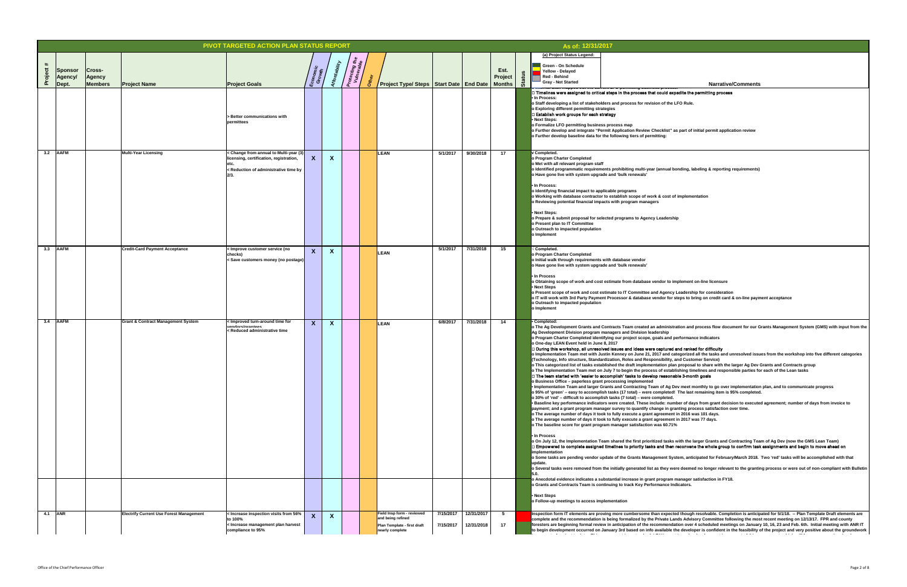### edite the permitting process  $\overline{\phantom{a}}$

|                                  |                                                | <b>PIVOT TARGETED ACTION PLAN STATUS REPORT</b>                                                                                    |                   |                     |                                                                                                   |                        |                          |               |   | As of: 12/31/2017                                                                                                                                                                                                                                                                                                                                                                                   |                                                                                                                                                                                                                                                                                                                                                                                                                                                                                                                                                                                                                                                                                                                                                                                                                                                                                                                                                                                                                                                                                                                                                                                                                                                                                                                                                                                                                                                                                                                                                                                                                                                                                                                                                                                                                                                                                                                                                                                                                                                                                                                                                                                                                                                                                                                                                                                                                                                                                                                                                                                                                                                                                                                                                                                                           |
|----------------------------------|------------------------------------------------|------------------------------------------------------------------------------------------------------------------------------------|-------------------|---------------------|---------------------------------------------------------------------------------------------------|------------------------|--------------------------|---------------|---|-----------------------------------------------------------------------------------------------------------------------------------------------------------------------------------------------------------------------------------------------------------------------------------------------------------------------------------------------------------------------------------------------------|-----------------------------------------------------------------------------------------------------------------------------------------------------------------------------------------------------------------------------------------------------------------------------------------------------------------------------------------------------------------------------------------------------------------------------------------------------------------------------------------------------------------------------------------------------------------------------------------------------------------------------------------------------------------------------------------------------------------------------------------------------------------------------------------------------------------------------------------------------------------------------------------------------------------------------------------------------------------------------------------------------------------------------------------------------------------------------------------------------------------------------------------------------------------------------------------------------------------------------------------------------------------------------------------------------------------------------------------------------------------------------------------------------------------------------------------------------------------------------------------------------------------------------------------------------------------------------------------------------------------------------------------------------------------------------------------------------------------------------------------------------------------------------------------------------------------------------------------------------------------------------------------------------------------------------------------------------------------------------------------------------------------------------------------------------------------------------------------------------------------------------------------------------------------------------------------------------------------------------------------------------------------------------------------------------------------------------------------------------------------------------------------------------------------------------------------------------------------------------------------------------------------------------------------------------------------------------------------------------------------------------------------------------------------------------------------------------------------------------------------------------------------------------------------------------------|
|                                  |                                                |                                                                                                                                    |                   |                     |                                                                                                   |                        |                          |               |   | (a) Project Status Legend:                                                                                                                                                                                                                                                                                                                                                                          |                                                                                                                                                                                                                                                                                                                                                                                                                                                                                                                                                                                                                                                                                                                                                                                                                                                                                                                                                                                                                                                                                                                                                                                                                                                                                                                                                                                                                                                                                                                                                                                                                                                                                                                                                                                                                                                                                                                                                                                                                                                                                                                                                                                                                                                                                                                                                                                                                                                                                                                                                                                                                                                                                                                                                                                                           |
| Sponsor<br><b>Cross-</b>         |                                                |                                                                                                                                    |                   | ದಿ ದ                |                                                                                                   |                        |                          | Est.          |   | <b>Green - On Schedule</b><br><b>Yellow - Delayed</b>                                                                                                                                                                                                                                                                                                                                               |                                                                                                                                                                                                                                                                                                                                                                                                                                                                                                                                                                                                                                                                                                                                                                                                                                                                                                                                                                                                                                                                                                                                                                                                                                                                                                                                                                                                                                                                                                                                                                                                                                                                                                                                                                                                                                                                                                                                                                                                                                                                                                                                                                                                                                                                                                                                                                                                                                                                                                                                                                                                                                                                                                                                                                                                           |
| <b>Agency</b><br><b>Agency</b>   |                                                |                                                                                                                                    |                   | rotectir<br>Vulner, |                                                                                                   |                        |                          | Project       |   | <b>Red - Behind</b>                                                                                                                                                                                                                                                                                                                                                                                 |                                                                                                                                                                                                                                                                                                                                                                                                                                                                                                                                                                                                                                                                                                                                                                                                                                                                                                                                                                                                                                                                                                                                                                                                                                                                                                                                                                                                                                                                                                                                                                                                                                                                                                                                                                                                                                                                                                                                                                                                                                                                                                                                                                                                                                                                                                                                                                                                                                                                                                                                                                                                                                                                                                                                                                                                           |
| Dept.<br><b>Members</b>          | <b>Project Name</b>                            | <b>Project Goals</b>                                                                                                               |                   |                     | Project Type/ Steps   Start Date   End Date                                                       |                        |                          | <b>Months</b> | ഗ | <b>Gray - Not Started</b>                                                                                                                                                                                                                                                                                                                                                                           | <b>Narrative/Comments</b>                                                                                                                                                                                                                                                                                                                                                                                                                                                                                                                                                                                                                                                                                                                                                                                                                                                                                                                                                                                                                                                                                                                                                                                                                                                                                                                                                                                                                                                                                                                                                                                                                                                                                                                                                                                                                                                                                                                                                                                                                                                                                                                                                                                                                                                                                                                                                                                                                                                                                                                                                                                                                                                                                                                                                                                 |
|                                  |                                                | Setter communications with<br>lpermittees                                                                                          |                   |                     |                                                                                                   |                        |                          |               |   | . In Process:<br>o Exploring different permitting strategies<br>Establish work groups for each strategy<br>• Next Steps:<br>o Formalize LFO permitting business process map<br>o Further develop baseline data for the following tiers of permitting:                                                                                                                                               | $\Box$ Timelines were assigned to critical steps in the process that could expedite the permitting process<br>o Staff developing a list of stakeholders and process for revision of the LFO Rule.<br>o Further develop and integrate "Permit Application Review Checklist" as part of initial permit application review                                                                                                                                                                                                                                                                                                                                                                                                                                                                                                                                                                                                                                                                                                                                                                                                                                                                                                                                                                                                                                                                                                                                                                                                                                                                                                                                                                                                                                                                                                                                                                                                                                                                                                                                                                                                                                                                                                                                                                                                                                                                                                                                                                                                                                                                                                                                                                                                                                                                                   |
| $3.2$ $AAFM$                     | <b>Multi-Year Licensing</b>                    | $\vert$ < Change from annual to Multi-year (3)<br>licensing, certification, registration,<br>< Reduction of administrative time by | $\mathbf{X}$      |                     | <b>LEAN</b>                                                                                       | 5/1/2017               | 9/30/2018                | 17            |   | √ Completed.<br>o Program Charter Completed<br>o Met with all relevant program staff<br>o Have gone live with system upgrade and 'bulk renewals'<br>• In Process:<br>o Identifying financial impact to applicable programs<br>o Reviewing potential financial impacts with program managers<br>• Next Steps:<br>o Present plan to IT Committee<br>o Outreach to impacted population<br>'o Implement | o Identified programmatic requirements prohibiting multi-year (annual bonding, labeling & reporting requirements)<br>o Working with database contractor to establish scope of work & cost of implementation<br>o Prepare & submit proposal for selected programs to Agency Leadership                                                                                                                                                                                                                                                                                                                                                                                                                                                                                                                                                                                                                                                                                                                                                                                                                                                                                                                                                                                                                                                                                                                                                                                                                                                                                                                                                                                                                                                                                                                                                                                                                                                                                                                                                                                                                                                                                                                                                                                                                                                                                                                                                                                                                                                                                                                                                                                                                                                                                                                     |
| $3.3$ $\overline{\mathsf{AAFM}}$ | <b>Credit-Card Payment Acceptance</b>          | < Improve customer service (no<br>checks)<br>< Save customers money (no postage)                                                   |                   |                     | LEAN                                                                                              | 5/1/2017               | 7/31/2018                | 15            |   | $\sqrt{\mathsf{Completely.}}$<br>o Program Charter Completed<br>o Initial walk through requirements with database vendor<br>o Have gone live with system upgrade and 'bulk renewals'<br>• In Process<br>• Next Steps<br>o Outreach to impacted population<br>o Implement                                                                                                                            | o Obtaining scope of work and cost estimate from database vendor to implement on-line licensure<br>o Present scope of work and cost estimate to IT Committee and Agency Leadership for consideration<br>o IT will work with 3rd Party Payment Processor & database vendor for steps to bring on credit card & on-line payment acceptance                                                                                                                                                                                                                                                                                                                                                                                                                                                                                                                                                                                                                                                                                                                                                                                                                                                                                                                                                                                                                                                                                                                                                                                                                                                                                                                                                                                                                                                                                                                                                                                                                                                                                                                                                                                                                                                                                                                                                                                                                                                                                                                                                                                                                                                                                                                                                                                                                                                                  |
| 3.4 AAFM                         | <b>Grant &amp; Contract Management System</b>  | < Improved turn-around time for<br>uandarelarantaae<br>< Reduced administrative time                                               | $\mathbf{v}$<br>⋏ |                     | LEAN                                                                                              | 6/8/2017               | 7/31/2018                | 14            |   | • Completed:<br>Ag Development Division program managers and Division leadership<br>o One-day LEAN Event held in June 8, 2017<br>o Business Office - paperless grant processing implemented<br>• In Process<br>implementation<br>update.<br>• Next Steps                                                                                                                                            | o The Ag Development Grants and Contracts Team created an administration and process flow document for our Grants Management System (GMS) with input from the<br>o Program Charter Completed identifying our project scope, goals and performance indicators<br>During this workshop, all unresolved issues and ideas were captured and ranked for difficulty<br>o Implementation Team met with Justin Kenney on June 21, 2017 and categorized all the tasks and unresolved issues from the workshop into five different categories<br>(Technology, Info structure, Standardization, Roles and Responsibility, and Customer Service)<br>o This categorized list of tasks established the draft implementation plan proposal to share with the larger Ag Dev Grants and Contracts group<br>o The Implementation Team met on July 7 to begin the process of establishing timelines and responsible parties for each of the Lean tasks<br>∃ The team started with 'easier to accomplish' tasks to develop reasonable 3-month goals<br>• Implementation Team and larger Grants and Contracting Team of Ag Dev meet monthly to go over implementation plan, and to communicate progress<br>o 95% of 'green' – easy to accomplish tasks (17 total) – were completed! The last remaining item is 95% completed.<br>o 30% of 'red' - difficult to accomplish tasks (7 total) - were completed.<br>Baseline key performance indicators were created. These include: number of days from grant decision to executed agreement; number of days from invoice to (+0)<br>payment; and a grant program manager survey to quantify change in granting process satisfaction over time.<br>o The average number of days it took to fully execute a grant agreement in 2016 was 101 days.<br>o The average number of days it took to fully execute a grant agreement in 2017 was 77 days.<br>o The baseline score for grant program manager satisfaction was 60.71%<br>o On July 12, the Implementation Team shared the first prioritized tasks with the larger Grants and Contracting Team of Ag Dev (now the GMS Lean Team)<br>∏Empowered to complete assigned timelines to priority tasks and then reconvene the whole group to confirm task assignments and begin to move ahead on<br>o Some tasks are pending vendor update of the Grants Management System, anticipated for February/March 2018. Two 'red' tasks will be accomplished with that<br>o Several tasks were removed from the initially generated list as they were deemed no longer relevant to the granting process or were out of non-compliant with Bulletin<br>o Anecdotal evidence indicates a substantial increase in grant program manager satisfaction in FY18.<br>o Grants and Contracts Team is continuing to track Key Performance Indicators. |
| 4.1 <b>ANR</b>                   | <b>Electrify Current Use Forest Management</b> | $\vert$ < Increase inspection visits from 56%<br>to 100%<br>< Increase management plan harvest<br>compliance to 95%                |                   |                     | Field Insp form - reviewed<br>and being refined<br>Plan Template - first draft<br>nearly complete | 7/15/2017<br>7/15/2017 | 12/31/2017<br>12/31/2018 | 17            |   | o Follow-up meetings to access implementation                                                                                                                                                                                                                                                                                                                                                       | Inspection form IT elements are proving more cumbersome than expected though resolvable. Completion is anticipated for 5/1/18. -- Plan Template Draft elements are<br>complete and the recommendation is being formalized by the Private Lands Advisory Committee following the most recent meeting on 12/13/17. FPR and county<br>foresters are beginning formal review in anticipation of the recommendation over 4 scheduled meetings on January 10, 16, 23 and Feb. 6th. Initial meeting with ANR IT<br>to begin development occurred on January 3rd based on info available the developer is confident in the feasibility of the project and very positive about the groundwork<br>التقطيم المرادي التقيين التقارب والمستقيل والمتحسن والمتحسن والمتحسن والمناصر المنادر                                                                                                                                                                                                                                                                                                                                                                                                                                                                                                                                                                                                                                                                                                                                                                                                                                                                                                                                                                                                                                                                                                                                                                                                                                                                                                                                                                                                                                                                                                                                                                                                                                                                                                                                                                                                                                                                                                                                                                                                                             |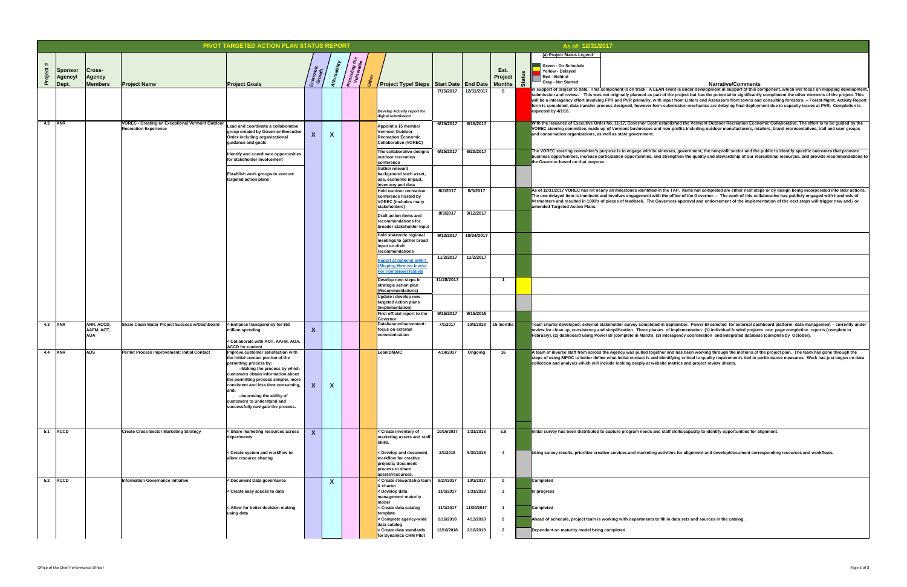**Narrative/Comments A** sets and sources in the catalog.  $\overline{\textbf{t}}$  is under development in support of this component, which will focus on mapping development, project but has the potential to significantly compliment the other elements of the project. This rom Listers and Assessors from towns and consulting foresters. -- Forest Mgmt. Activity Report **form is compled is compled** in the sisten process at PVR. Completion is submission mechanics are delaying final de mber. Power BI selected for external dashboard platform; data management - currently under lementation: (1) individual funded projects one page completion reports (complete in ency coordination and integrated database (complete by October). **As idems not completed are either next steps or by design being incorporated into later actions.** ce of the Governor. . The work of this collaborative has publicly engaged with hundreds of approval and endorsement of the implementation of the next steps will trigger new and./ or **Ned the Vermont Outdoor Recreation Economic Collaborative. The effort is to be guided by the** ofits including outdoor manufacturers, retailers, brand representatives, trail and user groups government, the nonprofit sector and the public to identify specific outcomes that promote then the quality and stewardship of our recreational resources, and provide recommendations to has been working through the motions of the project plan. The team has gone through the ng critical to quality requirements tied to performance measures. Work has just begun on data rics and project review sheets. **IIs/capacity to identify opportunities for alignment.** for alignment and develop/document corresponding resources and workflows.

| PIVOT TARGETED ACTION PLAN STATUS REPORT<br>As of: 12/31/2017<br>(a) Project Status Legend: |                          |                                 |                                                        |                                                                            |                                         |                   |                              |  |                                                                |            |            |                         |       |                                                                                                                                                            |
|---------------------------------------------------------------------------------------------|--------------------------|---------------------------------|--------------------------------------------------------|----------------------------------------------------------------------------|-----------------------------------------|-------------------|------------------------------|--|----------------------------------------------------------------|------------|------------|-------------------------|-------|------------------------------------------------------------------------------------------------------------------------------------------------------------|
|                                                                                             |                          |                                 |                                                        |                                                                            |                                         |                   |                              |  |                                                                |            |            |                         |       |                                                                                                                                                            |
| $\#$                                                                                        | <b>Sponsor</b>           | <b>Cross-</b>                   |                                                        |                                                                            |                                         |                   | Protecting the<br>Vulnerable |  |                                                                |            |            | Est.                    |       | <b>Green - On Schedule</b><br><b>Yellow - Delayed</b>                                                                                                      |
|                                                                                             | Agency/<br><b>IDept.</b> | <b>Agency</b><br><b>Members</b> | <b>Project Name</b>                                    | <b>Project Goals</b>                                                       | Economic<br>Growth                      | $f_{\mathcal{O}}$ |                              |  | Project Type/ Steps   Start Date   End Date   Months           |            |            | <b>Project</b>          | Statu | <b>Red - Behind</b><br><b>Gray - Not Started</b>                                                                                                           |
|                                                                                             |                          |                                 |                                                        |                                                                            |                                         |                   |                              |  |                                                                | 7/15/2017  | 12/31/2017 | 5                       |       | in support of project to date. This component is on track. A LEAN event is<br>submission and review.  This was not originally planned as part of the pr    |
|                                                                                             |                          |                                 |                                                        |                                                                            |                                         |                   |                              |  |                                                                |            |            |                         |       | will be a interagency effort involving FPR and PVR primarily, with input fro                                                                               |
|                                                                                             |                          |                                 |                                                        |                                                                            |                                         |                   |                              |  | <b>Develop Activity report for</b><br>digital submission       |            |            |                         |       | form is completed, data transfer process designed, however form submiss<br>expected by 4/1/18.                                                             |
| 4.2 ANR                                                                                     |                          |                                 | <b>VOREC - Creating an Exceptional Vermont Outdoor</b> | Lead and coordinate a collaborative                                        |                                         |                   |                              |  | Appoint a 15 member                                            | 6/15/2017  | 6/15/2017  |                         |       | With the issuance of Executive Order No. 11-17, Governor Scott establishe                                                                                  |
|                                                                                             |                          |                                 | <b>Recreation Experience</b>                           | group created by Governor Executive                                        | $\overline{\mathbf{v}}$<br>$\mathbf{A}$ | X                 |                              |  | Vermont Outdoor                                                |            |            |                         |       | VOREC steering committee, made up of Vermont businesses and non-prot<br>and conservation organizations, as well as state government.                       |
|                                                                                             |                          |                                 |                                                        | <b>Order including organizational</b><br>guidance and goals                |                                         |                   |                              |  | <b>Recreation Economic</b><br>Collaborative (VOREC)            |            |            |                         |       |                                                                                                                                                            |
|                                                                                             |                          |                                 |                                                        | Identify and coordinate opportunities                                      |                                         |                   |                              |  | The collaborative designs<br>loutdoor recreation               | 6/15/2017  | 6/20/2017  |                         |       | The VOREC steering committee's purpose is to engage with businesses, g<br>$ $ business opportunities, increase participation opportunities, and strength   |
|                                                                                             |                          |                                 |                                                        | for stakeholder involvement                                                |                                         |                   |                              |  | conference<br><b>Gather relevant</b>                           |            |            |                         |       | the Governor based on that purpose.                                                                                                                        |
|                                                                                             |                          |                                 |                                                        | <b>Establish work groups to execute</b><br>targeted action plans           |                                         |                   |                              |  | background such asset,<br>use, economic impact,                |            |            |                         |       |                                                                                                                                                            |
|                                                                                             |                          |                                 |                                                        |                                                                            |                                         |                   |                              |  | <b>Inventory and data</b>                                      |            |            |                         |       |                                                                                                                                                            |
|                                                                                             |                          |                                 |                                                        |                                                                            |                                         |                   |                              |  | <b>Hold outdoor recreation</b><br>conference hosted by         | 8/2/2017   | 8/3/2017   |                         |       | As of 12/31/2017 VOREC has hit nearly all milestones identified in the TAP<br>The one delayed item is imminent and involves engagement with the office     |
|                                                                                             |                          |                                 |                                                        |                                                                            |                                         |                   |                              |  | <b>VOREC</b> (includes many<br>stakeholders)                   |            |            |                         |       | Vermonters and resulted in 1000's of pieces of feedback. The Governors a<br>amended Targeted Action Plans.                                                 |
|                                                                                             |                          |                                 |                                                        |                                                                            |                                         |                   |                              |  | Draft action items and<br>recommendations for                  | 8/3/2017   | 9/12/2017  |                         |       |                                                                                                                                                            |
|                                                                                             |                          |                                 |                                                        |                                                                            |                                         |                   |                              |  | broader stakeholder input                                      |            |            |                         |       |                                                                                                                                                            |
|                                                                                             |                          |                                 |                                                        |                                                                            |                                         |                   |                              |  | Hold statewide regional<br>meetings to gather broad            | 9/12/2017  | 10/24/2017 |                         |       |                                                                                                                                                            |
|                                                                                             |                          |                                 |                                                        |                                                                            |                                         |                   |                              |  | input on draft<br>recommendations                              |            |            |                         |       |                                                                                                                                                            |
|                                                                                             |                          |                                 |                                                        |                                                                            |                                         |                   |                              |  | <b>Report at national SHIFT</b>                                | 11/2/2017  | 11/2/2017  |                         |       |                                                                                                                                                            |
|                                                                                             |                          |                                 |                                                        |                                                                            |                                         |                   |                              |  | <b>(Shaping How we Invest</b><br><b>For Tomorrow) festival</b> |            |            |                         |       |                                                                                                                                                            |
|                                                                                             |                          |                                 |                                                        |                                                                            |                                         |                   |                              |  | Develop next steps in<br>strategic action plan                 | 11/28/2017 |            |                         |       |                                                                                                                                                            |
|                                                                                             |                          |                                 |                                                        |                                                                            |                                         |                   |                              |  | (Recommendations)                                              |            |            |                         |       |                                                                                                                                                            |
|                                                                                             |                          |                                 |                                                        |                                                                            |                                         |                   |                              |  | Update / develop new<br>targeted action plans                  |            |            |                         |       |                                                                                                                                                            |
|                                                                                             |                          |                                 |                                                        |                                                                            |                                         |                   |                              |  | (Implementation)<br><b>First official report to the</b>        | 9/15/2017  | 9/15/2015  |                         |       |                                                                                                                                                            |
| 4.3 $ ANR$                                                                                  |                          | ANR, ACCD,                      | Share Clean Water Project Success w/Dashboard          | < Enhance transparency for \$50                                            |                                         |                   |                              |  | <b>Governor</b><br><b>Database enhancement:</b>                | 7/1/2017   | 10/1/2018  | 15 months               |       | Team charter developed; external stakeholder survey completed in Septen                                                                                    |
|                                                                                             |                          | AAFM, AOT,<br><b>AOA</b>        |                                                        | million spending                                                           | $\mathbf{v}$<br>$\lambda$               |                   |                              |  | focus on external<br>communication                             |            |            |                         |       | review for clean up, consistency and simplification. Three phases of impl<br>February), (2) dashboard using Power BI (complete in March); (3) interage     |
|                                                                                             |                          |                                 |                                                        | < Collaborate with AOT, AAFM, AOA,<br><b>ACCD for content</b>              |                                         |                   |                              |  |                                                                |            |            |                         |       |                                                                                                                                                            |
| 4.4 ANR                                                                                     |                          | <b>ADS</b>                      | Permit Process Improvement: Initial Contact            | Improve customer satisfaction with<br>the initial contact portion of the   |                                         |                   |                              |  | Lean/DMAIC                                                     | 4/14/2017  | Ongoing    | 16                      |       | A team of diverse staff from across the Agency was pulled together and ha<br>steps of using SIPOC to better define what initial contact is and identifying |
|                                                                                             |                          |                                 |                                                        | permitting process by:<br>--Making the process by which                    |                                         |                   |                              |  |                                                                |            |            |                         |       | collection and analysis which will include looking deeply at website metrid                                                                                |
|                                                                                             |                          |                                 |                                                        | customers obtain information about<br>the permitting process simpler, more |                                         |                   |                              |  |                                                                |            |            |                         |       |                                                                                                                                                            |
|                                                                                             |                          |                                 |                                                        | consistent and less time consuming,<br>and;                                | $\boldsymbol{X}$                        | X                 |                              |  |                                                                |            |            |                         |       |                                                                                                                                                            |
|                                                                                             |                          |                                 |                                                        | --Improving the ability of<br>customers to understand and                  |                                         |                   |                              |  |                                                                |            |            |                         |       |                                                                                                                                                            |
|                                                                                             |                          |                                 |                                                        | successfully navigate the process.                                         |                                         |                   |                              |  |                                                                |            |            |                         |       |                                                                                                                                                            |
|                                                                                             |                          |                                 |                                                        |                                                                            |                                         |                   |                              |  |                                                                |            |            |                         |       |                                                                                                                                                            |
|                                                                                             | $5.1$ $ $ ACCD           |                                 | <b>Create Cross-Sector Marketing Strategy</b>          | < Share marketing resources across                                         | $\boldsymbol{X}$                        |                   |                              |  | < Create inventory of                                          | 10/16/2017 | 1/31/2018  | 3.5                     |       | Initial survey has been distributed to capture program needs and staff skil                                                                                |
|                                                                                             |                          |                                 |                                                        | departments                                                                |                                         |                   |                              |  | marketing assets and staff<br>skills.                          |            |            |                         |       |                                                                                                                                                            |
|                                                                                             |                          |                                 |                                                        | < Create system and workflow to                                            |                                         |                   |                              |  | < Develop and document                                         | 2/1/2018   | 5/30/2018  | $\overline{\mathbf{4}}$ |       | Using survey results, prioritize creative services and marketing activities fo                                                                             |
|                                                                                             |                          |                                 |                                                        | allow resource sharing                                                     |                                         |                   |                              |  | <b>workflow for creative</b><br>projects; document             |            |            |                         |       |                                                                                                                                                            |
|                                                                                             |                          |                                 |                                                        |                                                                            |                                         |                   |                              |  | process to share<br>assets/resources.                          |            |            |                         |       |                                                                                                                                                            |
| 5.2                                                                                         | <b>ACCD</b>              |                                 | <b>Information Governance Initiative</b>               | < Document Data governance                                                 |                                         | X                 |                              |  | < Create stewardship team<br>8 charter                         | 9/27/2017  | 10/3/2017  | $\mathbf 0$             |       | <b>Completed</b>                                                                                                                                           |
|                                                                                             |                          |                                 |                                                        | < Create easy access to data                                               |                                         |                   |                              |  | < Develop data<br><b>management maturity</b>                   | 11/1/2017  | 1/31/2018  | $\mathbf{3}$            |       | In progress                                                                                                                                                |
|                                                                                             |                          |                                 |                                                        | < Allow for better decision making                                         |                                         |                   |                              |  | <b>model</b><br>< Create data catalog                          | 11/1/2017  | 11/30/2017 |                         |       | <b>Completed</b>                                                                                                                                           |
|                                                                                             |                          |                                 |                                                        | using data                                                                 |                                         |                   |                              |  | template<br>< Complete agency-wide                             | 2/16/2018  | 4/13/2018  | $\overline{2}$          |       | Ahead of schedule, project team is working with departments to fill in data                                                                                |
|                                                                                             |                          |                                 |                                                        |                                                                            |                                         |                   |                              |  | data catalog<br>< Create data standards                        | 12/16/2018 | 2/16/2018  | $\overline{2}$          |       |                                                                                                                                                            |
|                                                                                             |                          |                                 |                                                        |                                                                            |                                         |                   |                              |  | for Dynamics CRM Pilot                                         |            |            |                         |       | Dependent on maturity model being completed.                                                                                                               |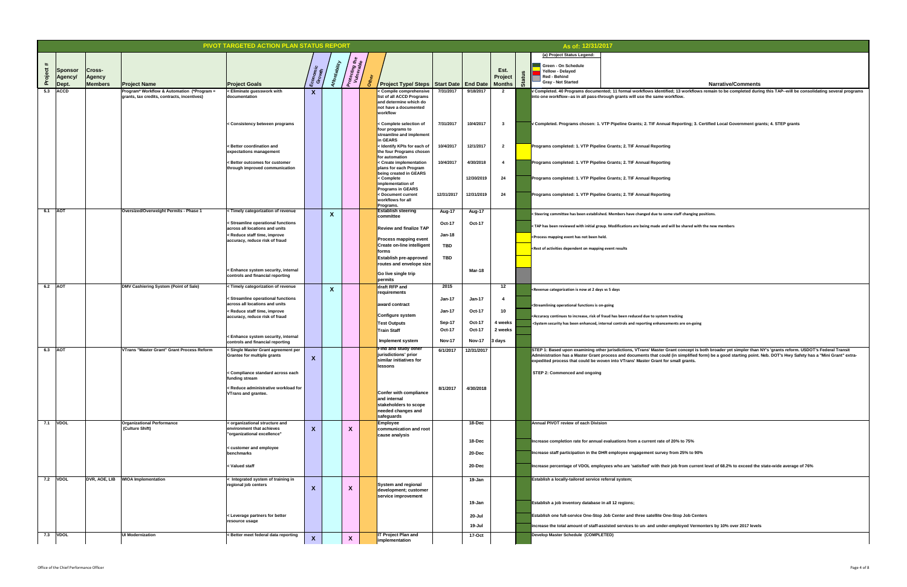13 workflows remain to be completed during this TAP--will be consolidating several programs

**Proeting; 3. Certified Local Government grants; 4. STEP grants** 

taff changing positions.

be shared with the new members

<u>concept is both broader yet simpler than NY's 'grants reform. USDOT's Federal Transit </u> **A** simplified form) be a good starting point. Neb. DOT's Hwy Safety has a "Mini Grant" extra**iall grants.** 

|              |                                           |                                                  |                                                                                           | <b>PIVOT TARGETED ACTION PLAN STATUS REPORT</b>                                     |                        |                                        |                              |                                                                                                                     |               |               |                         |           | As of: 12/31/2017                                                                                                |                                                                                                                                                                                                                                                                  |
|--------------|-------------------------------------------|--------------------------------------------------|-------------------------------------------------------------------------------------------|-------------------------------------------------------------------------------------|------------------------|----------------------------------------|------------------------------|---------------------------------------------------------------------------------------------------------------------|---------------|---------------|-------------------------|-----------|------------------------------------------------------------------------------------------------------------------|------------------------------------------------------------------------------------------------------------------------------------------------------------------------------------------------------------------------------------------------------------------|
|              |                                           |                                                  |                                                                                           |                                                                                     |                        |                                        |                              |                                                                                                                     |               |               |                         |           | (a) Project Status Legend:                                                                                       |                                                                                                                                                                                                                                                                  |
| #<br>Project | <b>Sponsor</b><br><b>Agency/</b><br>Dept. | <b>Cross-</b><br><b>Agency</b><br><b>Members</b> | <b>Project Name</b>                                                                       | <b>Project Goals</b>                                                                | Economic<br>Growth     | <b>bility</b>                          | Protecting the<br>Vulnerable | Project Type/ Steps Start Date End Date   Months   $\frac{16}{90}$                                                  |               |               | Est.<br><b>Project</b>  | <b>SP</b> | <b>Green - On Schedule</b><br><b>Yellow - Delayed</b><br>Red - Behind<br><b>Gray - Not Started</b>               |                                                                                                                                                                                                                                                                  |
| 5.3          | <b>ACCD</b>                               |                                                  | Program* Workflow & Automation (*Program =<br>grants, tax credits, contracts, incentives) | < Eliminate guesswork with<br>documentation                                         | $\mathbf{X}$           |                                        |                              | < Compile comprehensive<br>list of all ACCD Programs<br>and determine which do<br>not have a documented<br>workflow | 7/31/2017     | 9/18/2017     |                         |           |                                                                                                                  | V Completed. 40 Programs documented; 11 formal workflows identified; 13 workflows<br>into one workflow--as in all pass-through grants will use the same workflow.                                                                                                |
|              |                                           |                                                  |                                                                                           | < Consistency between programs                                                      |                        |                                        |                              | < Complete selection of<br>four programs to<br>streamline and implement<br>in GEARS                                 | 7/31/2017     | 10/4/2017     |                         |           |                                                                                                                  | V Completed. Programs chosen: 1. VTP Pipeline Grants; 2. TIF Annual Reporting; 3. C                                                                                                                                                                              |
|              |                                           |                                                  |                                                                                           | < Better coordination and<br>expectations management                                |                        |                                        |                              | <ldentify each="" for="" kpis="" of<br="">the four Programs chosen<br/>for automation</ldentify>                    | 10/4/2017     | 12/1/2017     | $\overline{\mathbf{2}}$ |           |                                                                                                                  | Programs completed: 1. VTP Pipeline Grants; 2. TIF Annual Reporting                                                                                                                                                                                              |
|              |                                           |                                                  |                                                                                           | < Better outcomes for customer<br>through improved communication                    |                        |                                        |                              | < Create implementation<br>plans for each Program<br>being created in GEARS                                         | 10/4/2017     | 4/30/2018     |                         |           |                                                                                                                  | Programs completed: 1. VTP Pipeline Grants; 2. TIF Annual Reporting                                                                                                                                                                                              |
|              |                                           |                                                  |                                                                                           |                                                                                     |                        |                                        |                              | < Complete<br>implementation of                                                                                     |               | 12/30/2019    | 24                      |           |                                                                                                                  | Programs completed: 1. VTP Pipeline Grants; 2. TIF Annual Reporting                                                                                                                                                                                              |
|              |                                           |                                                  |                                                                                           |                                                                                     |                        |                                        |                              | <b>Programs in GEARS</b><br>< Document current<br>workflows for all<br>Programs.                                    | 12/31/2017    | 12/31/2019    | 24                      |           |                                                                                                                  | Programs completed: 1. VTP Pipeline Grants; 2. TIF Annual Reporting                                                                                                                                                                                              |
| 6.1          | <b>AOT</b>                                |                                                  | Oversized/Overweight Permits - Phase 1                                                    | < Timely categorization of revenue                                                  |                        | $\mathbf{v}$<br>$\boldsymbol{\Lambda}$ |                              | <b>Establish steering</b><br>committee                                                                              | Aug-17        | Aug-17        |                         |           |                                                                                                                  | < Steering committee has been established. Members have changed due to some staff changing p                                                                                                                                                                     |
|              |                                           |                                                  |                                                                                           | < Streamline operational functions<br>across all locations and units                |                        |                                        |                              | <b>Review and finalize TAP</b>                                                                                      | <b>Oct-17</b> | <b>Oct-17</b> |                         |           |                                                                                                                  | <tap and="" are="" be="" been="" being="" group.="" has="" initial="" made="" modifications="" reviewed="" shared="" td="" will="" with="" with<=""></tap>                                                                                                       |
|              |                                           |                                                  |                                                                                           | < Reduce staff time, improve<br>accuracy, reduce risk of fraud                      |                        |                                        |                              | <b>Process mapping event</b>                                                                                        | <b>Jan-18</b> |               |                         |           | <process been="" event="" has="" held.<="" mapping="" not="" td=""><td></td></process>                           |                                                                                                                                                                                                                                                                  |
|              |                                           |                                                  |                                                                                           |                                                                                     |                        |                                        |                              | <b>Create on-line intelligent</b><br>forms                                                                          | <b>TBD</b>    |               |                         |           | <b>SARES</b> <rest activities="" dependent="" event="" mapping="" of="" on="" results<="" td=""><td></td></rest> |                                                                                                                                                                                                                                                                  |
|              |                                           |                                                  |                                                                                           |                                                                                     |                        |                                        |                              | <b>Establish pre-approved</b><br>routes and envelope size                                                           | <b>TBD</b>    |               |                         |           |                                                                                                                  |                                                                                                                                                                                                                                                                  |
|              |                                           |                                                  |                                                                                           | < Enhance system security, internal<br>controls and financial reporting             |                        |                                        |                              | <b>Go live single trip</b><br>permits                                                                               |               | Mar-18        |                         |           |                                                                                                                  |                                                                                                                                                                                                                                                                  |
| 6.2 AOT      |                                           |                                                  | <b>DMV Cashiering System (Point of Sale)</b>                                              | < Timely categorization of revenue                                                  |                        | $\boldsymbol{\Lambda}$                 |                              | draft RFP and<br>requirements                                                                                       | 2015          |               | 12                      |           | <b>KRevenue categorization is now at 2 days vs 5 days</b>                                                        |                                                                                                                                                                                                                                                                  |
|              |                                           |                                                  |                                                                                           | < Streamline operational functions                                                  |                        |                                        |                              |                                                                                                                     | <b>Jan-17</b> | $Jan-17$      |                         |           |                                                                                                                  |                                                                                                                                                                                                                                                                  |
|              |                                           |                                                  |                                                                                           | across all locations and units<br>< Reduce staff time, improve                      |                        |                                        |                              | award contract                                                                                                      | <b>Jan-17</b> | <b>Oct-17</b> | 10                      |           | Streamlining operational functions is on-going                                                                   |                                                                                                                                                                                                                                                                  |
|              |                                           |                                                  |                                                                                           | accuracy, reduce risk of fraud                                                      |                        |                                        |                              | Configure system                                                                                                    | Sep-17        | Oct-17        | 4 weeks                 |           |                                                                                                                  | <accuracy been="" continues="" due="" fraud="" has="" increase,="" of="" reduced="" risk="" system="" td="" to="" tracking<=""></accuracy>                                                                                                                       |
|              |                                           |                                                  |                                                                                           |                                                                                     |                        |                                        |                              | <b>Test Outputs</b><br><b>Train Staff</b>                                                                           | <b>Oct-17</b> | <b>Oct-17</b> | 2 weeks                 |           |                                                                                                                  | <system and="" are="" been="" controls="" enhanced,="" enhancements="" has="" internal="" on-going<="" reporting="" security="" td=""></system>                                                                                                                  |
|              |                                           |                                                  |                                                                                           | < Enhance system security, internal<br>controls and financial reporting             |                        |                                        |                              | <b>Implement system</b>                                                                                             | <b>Nov-17</b> | <b>Nov-17</b> | $3$ days                |           |                                                                                                                  |                                                                                                                                                                                                                                                                  |
| 6.3          | <b>AOT</b>                                |                                                  | <b>VTrans "Master Grant" Grant Process Reform</b>                                         | < Single Master Grant agreement per<br><b>Grantee for multiple grants</b>           | $\boldsymbol{\Lambda}$ |                                        |                              | <b>Find and study other</b><br>jurisdictions' prior<br>similar initiatives for                                      | 6/1/2017      | 12/31/2017    |                         |           |                                                                                                                  | STEP 1: Based upon examining other jurisdictions, VTrans' Master Grant concept is I<br>Administration has a Master Grant process and documents that could (in simplified fo<br>expedited process that could be woven into VTrans' Master Grant for small grants. |
|              |                                           |                                                  |                                                                                           | < Compliance standard across each<br>funding stream                                 |                        |                                        |                              | lessons                                                                                                             |               |               |                         |           | <b>STEP 2: Commenced and ongoing</b>                                                                             |                                                                                                                                                                                                                                                                  |
|              |                                           |                                                  |                                                                                           | <reduce administrative="" for<br="" workload=""><b>VTrans and grantee.</b></reduce> |                        |                                        |                              | <b>Confer with compliance</b><br>and internal<br>stakeholders to scope<br>needed changes and<br>safeguards          | 8/1/2017      | 4/30/2018     |                         |           |                                                                                                                  |                                                                                                                                                                                                                                                                  |
| 7.1          | <b>VDOL</b>                               |                                                  | <b>Organizational Performance</b><br>(Culture Shift)                                      | < organizational structure and<br>environment that achieves                         |                        |                                        | X                            | <b>Employee</b><br>communication and root                                                                           |               | 18-Dec        |                         |           | <b>Annual PIVOT review of each Division</b>                                                                      |                                                                                                                                                                                                                                                                  |
|              |                                           |                                                  |                                                                                           | "organizational excellence"                                                         |                        |                                        |                              | cause analysis                                                                                                      |               | 18-Dec        |                         |           |                                                                                                                  | Increase completion rate for annual evaluations from a current rate of 20% to 75%                                                                                                                                                                                |
|              |                                           |                                                  |                                                                                           | < customer and employee<br>benchmarks                                               |                        |                                        |                              |                                                                                                                     |               | 20-Dec        |                         |           |                                                                                                                  | Increase staff participation in the DHR employee engagement survey from 25% to 90%                                                                                                                                                                               |
|              |                                           |                                                  |                                                                                           | < Valued staff                                                                      |                        |                                        |                              |                                                                                                                     |               | 20-Dec        |                         |           |                                                                                                                  | Increase percentage of VDOL employees who are 'satisfied' with their job from currer                                                                                                                                                                             |
|              | 7.2   VDOL                                | DVR, AOE, LIB                                    | <b>WIOA Implementation</b>                                                                | < Integrated system of training in<br>regional job centers                          |                        |                                        | X                            | <b>System and regional</b><br>development; customer<br>service improvement                                          |               | 19-Jan        |                         |           | Establish a locally-tailored service referral system;                                                            |                                                                                                                                                                                                                                                                  |
|              |                                           |                                                  |                                                                                           |                                                                                     |                        |                                        |                              |                                                                                                                     |               | 19-Jan        |                         |           | Establish a job inventory database in all 12 regions;                                                            |                                                                                                                                                                                                                                                                  |
|              |                                           |                                                  |                                                                                           | < Leverage partners for better<br>resource usage                                    |                        |                                        |                              |                                                                                                                     |               | 20-Jul        |                         |           |                                                                                                                  | Establish one full-service One-Stop Job Center and three satellite One-Stop Job Cent                                                                                                                                                                             |
|              |                                           |                                                  |                                                                                           |                                                                                     |                        |                                        |                              |                                                                                                                     |               | 19-Jul        |                         |           |                                                                                                                  | increase the total amount of staff-assisted services to un- and under-employed Verme                                                                                                                                                                             |
| 7.3          | <b>VDOL</b>                               |                                                  | <b>UI Modernization</b>                                                                   | < Better meet federal data reporting                                                | $\Lambda$              |                                        | $\mathbf v$<br>$\lambda$     | <b>T Project Plan and</b><br>implementation                                                                         |               | <b>17-Oct</b> |                         |           | <b>Develop Master Schedule (COMPLETED)</b>                                                                       |                                                                                                                                                                                                                                                                  |

**In 25% to 90%** 

**I** from current level of 68.2% to exceed the state-wide average of 76%

top Job Centers

ployed Vermonters by 10% over 2017 levels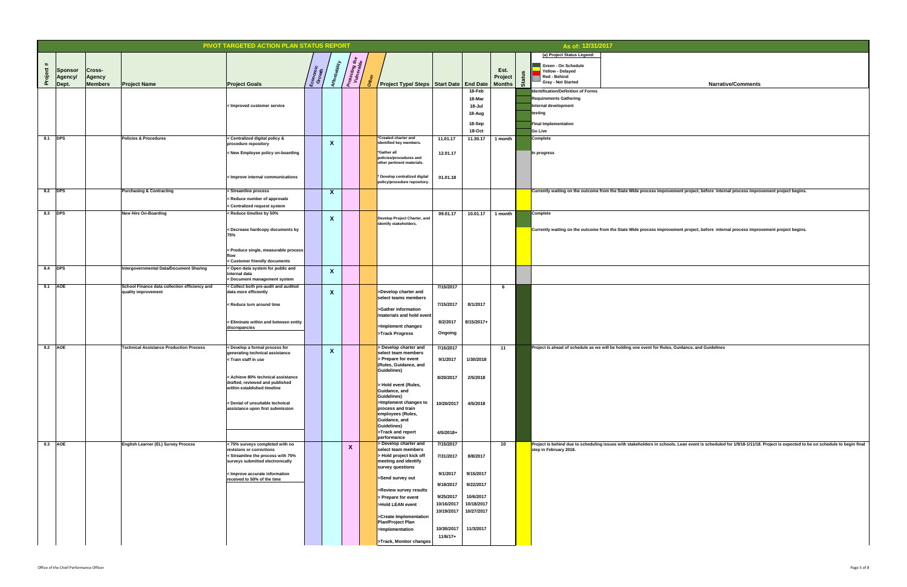|                                               |                                                                      | PIVOT TARGETED ACTION PLAN STATUS REPORT                                                                                                                                                                                                 |                   |                                                   |                                          |                                                        |                        |                           |         |                    | As of: 12/31/2017                                                   |                                                                                                                      |
|-----------------------------------------------|----------------------------------------------------------------------|------------------------------------------------------------------------------------------------------------------------------------------------------------------------------------------------------------------------------------------|-------------------|---------------------------------------------------|------------------------------------------|--------------------------------------------------------|------------------------|---------------------------|---------|--------------------|---------------------------------------------------------------------|----------------------------------------------------------------------------------------------------------------------|
|                                               |                                                                      |                                                                                                                                                                                                                                          |                   |                                                   |                                          |                                                        |                        |                           |         |                    | (a) Project Status Legend:                                          |                                                                                                                      |
| $\#$<br>Cross-                                |                                                                      |                                                                                                                                                                                                                                          |                   |                                                   | <sup>P</sup> rotecting the<br>Vulnerable |                                                        |                        |                           | Est.    |                    | <b>Green - On Schedule</b>                                          |                                                                                                                      |
| roject<br><b>Sponsor</b><br>Agency/<br>Agency |                                                                      |                                                                                                                                                                                                                                          | Economi<br>Growth |                                                   |                                          |                                                        |                        |                           | Project | ທ<br><b>Status</b> | <b>Yellow - Delayed</b><br><b>Red - Behind</b>                      |                                                                                                                      |
| <b>Members</b><br>Dept.                       | <b>Project Name</b>                                                  | <b>Project Goals</b>                                                                                                                                                                                                                     |                   |                                                   |                                          | Project Type/ Steps   Start Date   End Date            |                        |                           | Months  |                    | <b>Gray - Not Started</b>                                           | <b>Narrative/Comments</b>                                                                                            |
|                                               |                                                                      |                                                                                                                                                                                                                                          |                   |                                                   |                                          |                                                        |                        | 18-Feb<br>18-Mar          |         |                    | Identification/Definition of Forms<br><b>Requirements Gathering</b> |                                                                                                                      |
|                                               |                                                                      | < Improved customer service                                                                                                                                                                                                              |                   |                                                   |                                          |                                                        |                        | 18-Jul                    |         |                    | Internal development                                                |                                                                                                                      |
|                                               |                                                                      |                                                                                                                                                                                                                                          |                   |                                                   |                                          |                                                        |                        | 18-Aug                    |         |                    | testing                                                             |                                                                                                                      |
|                                               |                                                                      |                                                                                                                                                                                                                                          |                   |                                                   |                                          |                                                        |                        | 18-Sep                    |         |                    | <b>Final Implementation</b>                                         |                                                                                                                      |
| 8.1 DPS                                       | <b>Policies &amp; Procedures</b>                                     | < Centralized digital policy &                                                                                                                                                                                                           |                   |                                                   |                                          | <b>Exercise Charter and</b>                            | 11.01.17               | <b>18-Oct</b><br>11.30.17 | 1 month |                    | <b>Go Live</b><br>Complete                                          |                                                                                                                      |
|                                               |                                                                      | procedure repository                                                                                                                                                                                                                     |                   | $\boldsymbol{\Lambda}$                            |                                          | identified key members.                                |                        |                           |         |                    |                                                                     |                                                                                                                      |
|                                               |                                                                      | < New Employee policy on-boarding                                                                                                                                                                                                        |                   |                                                   |                                          | <b>Sather all</b><br>policies/procedures and           | 12.01.17               |                           |         |                    | In progress                                                         |                                                                                                                      |
|                                               |                                                                      |                                                                                                                                                                                                                                          |                   |                                                   |                                          | other pertinent materials.                             |                        |                           |         |                    |                                                                     |                                                                                                                      |
|                                               |                                                                      | < Improve internal communications                                                                                                                                                                                                        |                   |                                                   |                                          | * Develop centralized digital                          | 01.01.18               |                           |         |                    |                                                                     |                                                                                                                      |
|                                               |                                                                      |                                                                                                                                                                                                                                          |                   |                                                   |                                          | policy/procedure repository.                           |                        |                           |         |                    |                                                                     |                                                                                                                      |
| 8.2 <b>DPS</b>                                | <b>Purchasing &amp; Contracting</b>                                  | < Streamline process                                                                                                                                                                                                                     |                   | X                                                 |                                          |                                                        |                        |                           |         |                    |                                                                     | Currently waiting on the outcome from the State Wide process improvement project, before internal process improv     |
|                                               |                                                                      | < Reduce number of approvals<br>< Centralized request system                                                                                                                                                                             |                   |                                                   |                                          |                                                        |                        |                           |         |                    |                                                                     |                                                                                                                      |
| 8.3 DPS                                       | New Hire On-Boarding                                                 | <reduce 50%<="" by="" td="" timeline=""><td></td><td></td><td></td><td></td><td>09.01.17</td><td>10.01.17</td><td>1 month</td><td></td><td>Complete</td><td></td></reduce>                                                               |                   |                                                   |                                          |                                                        | 09.01.17               | 10.01.17                  | 1 month |                    | Complete                                                            |                                                                                                                      |
|                                               |                                                                      |                                                                                                                                                                                                                                          |                   | $\mathbf{v}$<br>$\boldsymbol{\Lambda}$            |                                          | Develop Project Charter, and<br>identify stakeholders. |                        |                           |         |                    |                                                                     |                                                                                                                      |
|                                               |                                                                      | < Decrease hardcopy documents by<br>75%                                                                                                                                                                                                  |                   |                                                   |                                          |                                                        |                        |                           |         |                    |                                                                     | Currently waiting on the outcome from the State Wide process improvement project, before internal process improv     |
|                                               |                                                                      |                                                                                                                                                                                                                                          |                   |                                                   |                                          |                                                        |                        |                           |         |                    |                                                                     |                                                                                                                      |
|                                               |                                                                      | < Produce single, measurable process                                                                                                                                                                                                     |                   |                                                   |                                          |                                                        |                        |                           |         |                    |                                                                     |                                                                                                                      |
|                                               |                                                                      | tlow<br>< Customer friendly documents                                                                                                                                                                                                    |                   |                                                   |                                          |                                                        |                        |                           |         |                    |                                                                     |                                                                                                                      |
| 8.4 <b>DPS</b>                                | Intergovernmental Data/Document Sharing                              | < Open data system for public and<br>internal data                                                                                                                                                                                       |                   | X                                                 |                                          |                                                        |                        |                           |         |                    |                                                                     |                                                                                                                      |
|                                               |                                                                      | < Document management system                                                                                                                                                                                                             |                   |                                                   |                                          |                                                        |                        |                           |         |                    |                                                                     |                                                                                                                      |
| 9.1 AOE                                       | School Finance data collection efficiency and<br>quality improvement | < Collect both pre-audit and audited<br>data more efficiently                                                                                                                                                                            |                   | $\mathbf v$<br>$\boldsymbol{\Lambda}$             |                                          | >Develop charter and                                   | 7/15/2017              |                           |         |                    |                                                                     |                                                                                                                      |
|                                               |                                                                      |                                                                                                                                                                                                                                          |                   |                                                   |                                          | select teams members                                   |                        |                           |         |                    |                                                                     |                                                                                                                      |
|                                               |                                                                      | < Reduce turn around time                                                                                                                                                                                                                |                   |                                                   |                                          | Sather information                                     | 7/15/2017              | 8/1/2017                  |         |                    |                                                                     |                                                                                                                      |
|                                               |                                                                      | < Eliminate within and between entity                                                                                                                                                                                                    |                   |                                                   |                                          | /materials and hold event                              | 8/2/2017               | 8/15/2017+                |         |                    |                                                                     |                                                                                                                      |
|                                               |                                                                      | discrepancies                                                                                                                                                                                                                            |                   |                                                   |                                          | Simplement changes                                     |                        |                           |         |                    |                                                                     |                                                                                                                      |
|                                               |                                                                      |                                                                                                                                                                                                                                          |                   |                                                   |                                          | STrack Progress                                        | Ongoing                |                           |         |                    |                                                                     |                                                                                                                      |
| 9.2 AOE                                       | <b>Technical Assistance Production Process</b>                       | < Develop a formal process for                                                                                                                                                                                                           |                   | $\overline{\mathbf{v}}$<br>$\boldsymbol{\Lambda}$ |                                          | > Develop charter and                                  | 7/15/2017              |                           | 11      |                    |                                                                     | Project is ahead of schedule as we will be holding one event for Rules, Guidance, and Guidelines                     |
|                                               |                                                                      | generating technical assistance<br><train in="" staff="" td="" use<=""><td></td><td></td><td></td><td>select team members<br/>&gt; Prepare for event</td><td>9/1/2017</td><td>1/30/2018</td><td></td><td></td><td></td><td></td></train> |                   |                                                   |                                          | select team members<br>> Prepare for event             | 9/1/2017               | 1/30/2018                 |         |                    |                                                                     |                                                                                                                      |
|                                               |                                                                      |                                                                                                                                                                                                                                          |                   |                                                   |                                          | <b>(Rules, Guidance, and</b><br>Guidelines)            |                        |                           |         |                    |                                                                     |                                                                                                                      |
|                                               |                                                                      | < Achieve 80% technical assistance                                                                                                                                                                                                       |                   |                                                   |                                          |                                                        | 8/20/2017              | 2/5/2018                  |         |                    |                                                                     |                                                                                                                      |
|                                               |                                                                      | drafted, reviewed and published<br>within established timeline                                                                                                                                                                           |                   |                                                   |                                          | > Hold event (Rules,<br>Guidance, and                  |                        |                           |         |                    |                                                                     |                                                                                                                      |
|                                               |                                                                      |                                                                                                                                                                                                                                          |                   |                                                   |                                          | Guidelines)                                            |                        |                           |         |                    |                                                                     |                                                                                                                      |
|                                               |                                                                      | < Denial of unsuitable technical<br>assistance upon first submission                                                                                                                                                                     |                   |                                                   |                                          | Simplement changes to<br>process and train             | 10/20/2017             | 4/5/2018                  |         |                    |                                                                     |                                                                                                                      |
|                                               |                                                                      |                                                                                                                                                                                                                                          |                   |                                                   |                                          | employees (Rules,<br>Guidance, and                     |                        |                           |         |                    |                                                                     |                                                                                                                      |
|                                               |                                                                      |                                                                                                                                                                                                                                          |                   |                                                   |                                          | Guidelines)                                            |                        |                           |         |                    |                                                                     |                                                                                                                      |
|                                               |                                                                      |                                                                                                                                                                                                                                          |                   |                                                   |                                          | $\blacktriangleright$ Track and report<br>performance  | 4/5/2018+              |                           |         |                    |                                                                     |                                                                                                                      |
| $9.3$ AOE                                     | <b>English Learner (EL) Survey Process</b>                           | < 75% surveys completed with no<br>revisions or corrections                                                                                                                                                                              |                   |                                                   | X                                        | > Develop charter and<br>select team members           | 7/15/2017              |                           | 10      |                    | step in February 2018.                                              | Project is behind due to scheduling issues with stakeholders in schools. Lean event is scheduled for 1/9/18-1/11/18. |
|                                               |                                                                      | < Streamline the process with 75%                                                                                                                                                                                                        |                   |                                                   |                                          | > Hold project kick off                                | 7/31/2017              | 8/8/2017                  |         |                    |                                                                     |                                                                                                                      |
|                                               |                                                                      | surveys submitted electronically                                                                                                                                                                                                         |                   |                                                   |                                          | meeting and identify<br>survey questions               |                        |                           |         |                    |                                                                     |                                                                                                                      |
|                                               |                                                                      | < Improve accurate information<br>received to 50% of the time                                                                                                                                                                            |                   |                                                   |                                          | Send survey out                                        | 9/1/2017               | 9/15/2017                 |         |                    |                                                                     |                                                                                                                      |
|                                               |                                                                      |                                                                                                                                                                                                                                          |                   |                                                   |                                          |                                                        | 9/18/2017              | 9/22/2017                 |         |                    |                                                                     |                                                                                                                      |
|                                               |                                                                      |                                                                                                                                                                                                                                          |                   |                                                   |                                          | <b>Solution</b> Survey results<br>> Prepare for event  | 9/25/2017              | 10/6/2017                 |         |                    |                                                                     |                                                                                                                      |
|                                               |                                                                      |                                                                                                                                                                                                                                          |                   |                                                   |                                          | >Hold LEAN event                                       | 10/16/2017             | 10/18/2017                |         |                    |                                                                     |                                                                                                                      |
|                                               |                                                                      |                                                                                                                                                                                                                                          |                   |                                                   |                                          | Screate Implementation                                 | 10/19/2017             | 10/27/2017                |         |                    |                                                                     |                                                                                                                      |
|                                               |                                                                      |                                                                                                                                                                                                                                          |                   |                                                   |                                          | <b>Plan/Project Plan</b>                               |                        |                           |         |                    |                                                                     |                                                                                                                      |
|                                               |                                                                      |                                                                                                                                                                                                                                          |                   |                                                   |                                          | <b>Sumplementation</b>                                 | 10/30/2017<br>11/6/17+ | 11/3/2017                 |         |                    |                                                                     |                                                                                                                      |
|                                               |                                                                      |                                                                                                                                                                                                                                          |                   |                                                   |                                          | STrack, Monitor changes                                |                        |                           |         |                    |                                                                     |                                                                                                                      |

| As of: 12/31/2017                         |                                                                                                                                                                           |
|-------------------------------------------|---------------------------------------------------------------------------------------------------------------------------------------------------------------------------|
|                                           |                                                                                                                                                                           |
| (a) Project Status Legend:                |                                                                                                                                                                           |
| <b>Green - On Schedule</b>                |                                                                                                                                                                           |
| <b>Yellow - Delayed</b>                   |                                                                                                                                                                           |
| <b>Red - Behind</b>                       |                                                                                                                                                                           |
| <b>Gray - Not Started</b>                 | <b>Narrative/Comments</b>                                                                                                                                                 |
| <b>Identification/Definition of Forms</b> |                                                                                                                                                                           |
| <b>Requirements Gathering</b>             |                                                                                                                                                                           |
| <b>Internal development</b>               |                                                                                                                                                                           |
|                                           |                                                                                                                                                                           |
| testing                                   |                                                                                                                                                                           |
| <b>Final Implementation</b>               |                                                                                                                                                                           |
| <b>Go Live</b>                            |                                                                                                                                                                           |
|                                           |                                                                                                                                                                           |
| Complete                                  |                                                                                                                                                                           |
|                                           |                                                                                                                                                                           |
| In progress                               |                                                                                                                                                                           |
|                                           |                                                                                                                                                                           |
|                                           |                                                                                                                                                                           |
|                                           |                                                                                                                                                                           |
|                                           |                                                                                                                                                                           |
|                                           |                                                                                                                                                                           |
|                                           | Currently waiting on the outcome from the State Wide process improvement project, before internal process improvement project begins.                                     |
|                                           |                                                                                                                                                                           |
|                                           |                                                                                                                                                                           |
| Complete                                  |                                                                                                                                                                           |
|                                           |                                                                                                                                                                           |
|                                           |                                                                                                                                                                           |
|                                           | Currently waiting on the outcome from the State Wide process improvement project, before internal process improvement project begins.                                     |
|                                           |                                                                                                                                                                           |
|                                           |                                                                                                                                                                           |
|                                           |                                                                                                                                                                           |
|                                           |                                                                                                                                                                           |
|                                           |                                                                                                                                                                           |
|                                           |                                                                                                                                                                           |
|                                           |                                                                                                                                                                           |
|                                           |                                                                                                                                                                           |
|                                           |                                                                                                                                                                           |
|                                           |                                                                                                                                                                           |
|                                           |                                                                                                                                                                           |
|                                           |                                                                                                                                                                           |
|                                           |                                                                                                                                                                           |
|                                           |                                                                                                                                                                           |
|                                           |                                                                                                                                                                           |
|                                           |                                                                                                                                                                           |
|                                           |                                                                                                                                                                           |
|                                           | Project is ahead of schedule as we will be holding one event for Rules, Guidance, and Guidelines                                                                          |
|                                           |                                                                                                                                                                           |
|                                           |                                                                                                                                                                           |
|                                           |                                                                                                                                                                           |
|                                           |                                                                                                                                                                           |
|                                           |                                                                                                                                                                           |
|                                           |                                                                                                                                                                           |
|                                           |                                                                                                                                                                           |
|                                           |                                                                                                                                                                           |
|                                           |                                                                                                                                                                           |
|                                           |                                                                                                                                                                           |
|                                           |                                                                                                                                                                           |
|                                           |                                                                                                                                                                           |
|                                           |                                                                                                                                                                           |
|                                           |                                                                                                                                                                           |
|                                           | Project is behind due to scheduling issues with stakeholders in schools. Lean event is scheduled for 1/9/18-1/11/18. Project is expected to be on schedule to begin final |
| step in February 2018.                    |                                                                                                                                                                           |
|                                           |                                                                                                                                                                           |
|                                           |                                                                                                                                                                           |
|                                           |                                                                                                                                                                           |
|                                           |                                                                                                                                                                           |
|                                           |                                                                                                                                                                           |
|                                           |                                                                                                                                                                           |
|                                           |                                                                                                                                                                           |
|                                           |                                                                                                                                                                           |
|                                           |                                                                                                                                                                           |
|                                           |                                                                                                                                                                           |
|                                           |                                                                                                                                                                           |
|                                           |                                                                                                                                                                           |
|                                           |                                                                                                                                                                           |
|                                           |                                                                                                                                                                           |
|                                           |                                                                                                                                                                           |
|                                           |                                                                                                                                                                           |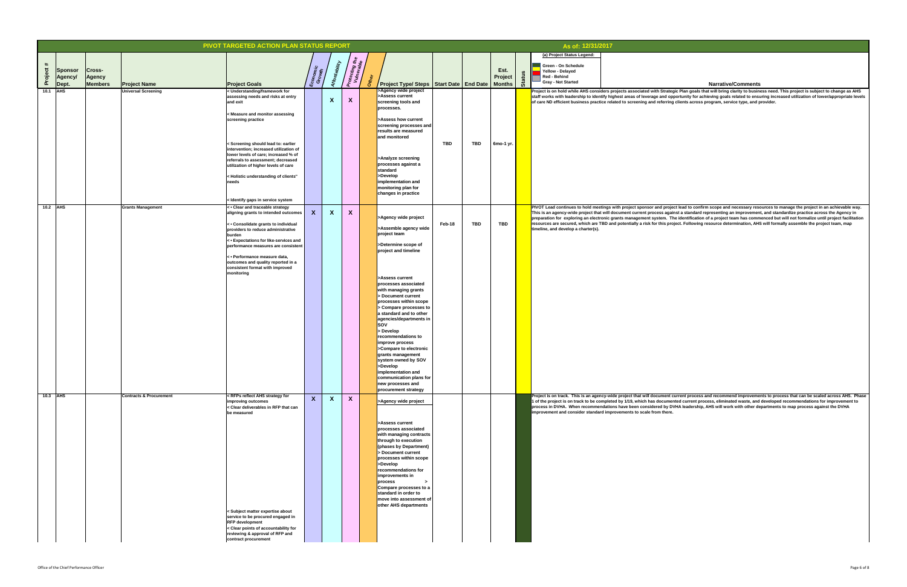# **Narrative/Comments** lead to confirm scope and necessary resources to manage the project in an achievable way. **This is a standard representing an improvement, and standardize practice across the Agency in** identification of a project team has commenced but will not formalize until project facilitation ect. Following resource determination, AHS will formally assemble the project team, map rrent process and recommend improvements to process that can be scaled across AHS. Phase ed current process, eliminated waste, and developed recommendations for improvement to HA leadership, AHS will work with other departments to map process against the DVHA .<br>Plan goals that will bring clarity to business need. This project is subject to change as AHS **primity for achieving goals related to ensuring increased utilization of lower/appropriate levels** lients across program, service type, and provider.

|                 |                                  |                                |                                                   | PIVOT TARGETED ACTION PLAN STATUS REPORT                                                                                                                                                                                                                                                                                                                                                                                                                                                                                                                                                                                                                                                                               |                    |                      |                              |      |                                                                                                                                                                                                                                                                                                                                                                                                                                                     |            |            |                 |               | As of: 12/31/2017                                                                                                                                                                                                                                                          |
|-----------------|----------------------------------|--------------------------------|---------------------------------------------------|------------------------------------------------------------------------------------------------------------------------------------------------------------------------------------------------------------------------------------------------------------------------------------------------------------------------------------------------------------------------------------------------------------------------------------------------------------------------------------------------------------------------------------------------------------------------------------------------------------------------------------------------------------------------------------------------------------------------|--------------------|----------------------|------------------------------|------|-----------------------------------------------------------------------------------------------------------------------------------------------------------------------------------------------------------------------------------------------------------------------------------------------------------------------------------------------------------------------------------------------------------------------------------------------------|------------|------------|-----------------|---------------|----------------------------------------------------------------------------------------------------------------------------------------------------------------------------------------------------------------------------------------------------------------------------|
|                 |                                  |                                |                                                   |                                                                                                                                                                                                                                                                                                                                                                                                                                                                                                                                                                                                                                                                                                                        |                    |                      |                              |      |                                                                                                                                                                                                                                                                                                                                                                                                                                                     |            |            |                 |               | (a) Project Status Legend:                                                                                                                                                                                                                                                 |
| $\#$<br>Project | <b>Sponsor</b><br><b>Agency/</b> | <b>Cross-</b><br><b>Agency</b> |                                                   |                                                                                                                                                                                                                                                                                                                                                                                                                                                                                                                                                                                                                                                                                                                        | Economic<br>Growth | <b>Affordability</b> | Protecting the<br>Vulnerable | Othe |                                                                                                                                                                                                                                                                                                                                                                                                                                                     |            |            | Est.<br>Project | <b>Status</b> | <b>Green - On Schedule</b><br><b>Yellow - Delayed</b><br><b>Red - Behind</b><br><b>Gray - Not Started</b>                                                                                                                                                                  |
| 10.1 $ AHS$     | Dept.                            | <b>Members</b>                 | <b>Project Name</b><br><b>Universal Screening</b> | <b>Project Goals</b><br>< Understanding/framework for                                                                                                                                                                                                                                                                                                                                                                                                                                                                                                                                                                                                                                                                  |                    |                      |                              |      | Project Type/ Steps   Start Date   End Date   Months  <br>>Agency wide project                                                                                                                                                                                                                                                                                                                                                                      |            |            |                 |               | Project is on hold while AHS considers projects associated with Strategic                                                                                                                                                                                                  |
|                 |                                  |                                |                                                   | assessing needs and risks at entry<br>and exit                                                                                                                                                                                                                                                                                                                                                                                                                                                                                                                                                                                                                                                                         |                    | $\boldsymbol{X}$     | X                            |      | >Assess current<br>screening tools and<br>processes.                                                                                                                                                                                                                                                                                                                                                                                                |            |            |                 |               | staff works with leadership to identify highest areas of leverage and oppor<br>of care ND efficient business practice related to screening and referring cli                                                                                                               |
|                 |                                  |                                |                                                   | < Measure and monitor assessing<br>screening practice                                                                                                                                                                                                                                                                                                                                                                                                                                                                                                                                                                                                                                                                  |                    |                      |                              |      | >Assess how current<br>screening processes and<br>results are measured<br>and monitored                                                                                                                                                                                                                                                                                                                                                             |            |            |                 |               |                                                                                                                                                                                                                                                                            |
|                 |                                  |                                |                                                   | < Screening should lead to: earlier<br>intervention; increased utilization of<br>lower levels of care; increased % of<br>referrals to assessment; decreased<br>utilization of higher levels of care                                                                                                                                                                                                                                                                                                                                                                                                                                                                                                                    |                    |                      |                              |      | >Analyze screening<br>processes against a<br>standard                                                                                                                                                                                                                                                                                                                                                                                               | <b>TBD</b> | <b>TBD</b> | 6mo-1 yr.       |               |                                                                                                                                                                                                                                                                            |
|                 |                                  |                                |                                                   | < Holistic understanding of clients"<br>needs<br>< Identify gaps in service system                                                                                                                                                                                                                                                                                                                                                                                                                                                                                                                                                                                                                                     |                    |                      |                              |      | >Develop<br>implementation and<br>monitoring plan for<br>changes in practice                                                                                                                                                                                                                                                                                                                                                                        |            |            |                 |               |                                                                                                                                                                                                                                                                            |
| 10.2 $ AHS$     |                                  |                                | <b>Grants Management</b>                          | $\vert$ < $\bullet$ Clear and traceable strategy                                                                                                                                                                                                                                                                                                                                                                                                                                                                                                                                                                                                                                                                       |                    |                      |                              |      |                                                                                                                                                                                                                                                                                                                                                                                                                                                     |            |            |                 |               | PIVOT Lead continues to hold meetings with project sponsor and project I                                                                                                                                                                                                   |
|                 |                                  |                                |                                                   | aligning grants to intended outcomes<br>< Consolidate grants to individual<br>providers to reduce administrative<br>burden                                                                                                                                                                                                                                                                                                                                                                                                                                                                                                                                                                                             | $\mathsf{X}$       | $\mathbf{X}$         | $\mathbf{X}$                 |      | >Agency wide project<br>>Assemble agency wide<br>project team                                                                                                                                                                                                                                                                                                                                                                                       | Feb-18     | <b>TBD</b> | <b>TBD</b>      |               | This is an agency-wide project that will document current process against<br>preparation for exploring an electronic grants management system. The i<br>resources are secured, which are TBD and potentially a risk for this projec<br>timeline, and develop a charter(s). |
|                 |                                  |                                |                                                   | < • Expectations for like-services and<br>performance measures are consistent                                                                                                                                                                                                                                                                                                                                                                                                                                                                                                                                                                                                                                          |                    |                      |                              |      | >Determine scope of<br>project and timeline                                                                                                                                                                                                                                                                                                                                                                                                         |            |            |                 |               |                                                                                                                                                                                                                                                                            |
|                 |                                  |                                |                                                   | < • Performance measure data,<br>outcomes and quality reported in a<br>consistent format with improved<br>monitoring                                                                                                                                                                                                                                                                                                                                                                                                                                                                                                                                                                                                   |                    |                      |                              |      |                                                                                                                                                                                                                                                                                                                                                                                                                                                     |            |            |                 |               |                                                                                                                                                                                                                                                                            |
|                 | 10.3 $AB$                        |                                | <b>Contracts &amp; Procurement</b>                | <rfps ahs="" for<="" reflect="" strategy="" td=""><td></td><td></td><td></td><td></td><td>&gt;Assess current<br/>processes associated<br/>with managing grants<br/>&gt; Document current<br/>processes within scope<br/>&gt; Compare processes to<br/>a standard and to other<br/>agencies/departments in<br/><b>SOV</b><br/>&gt; Develop<br/>recommendations to<br/>improve process<br/>&gt;Compare to electronic<br/>grants management<br/>system owned by SOV<br/>&gt;Develop<br/>implementation and<br/>communication plans for<br/>new processes and<br/>procurement strategy</td><td></td><td></td><td></td><td></td><td>Project is on track. This is an agency-wide project that will document curr</td></rfps> |                    |                      |                              |      | >Assess current<br>processes associated<br>with managing grants<br>> Document current<br>processes within scope<br>> Compare processes to<br>a standard and to other<br>agencies/departments in<br><b>SOV</b><br>> Develop<br>recommendations to<br>improve process<br>>Compare to electronic<br>grants management<br>system owned by SOV<br>>Develop<br>implementation and<br>communication plans for<br>new processes and<br>procurement strategy |            |            |                 |               | Project is on track. This is an agency-wide project that will document curr                                                                                                                                                                                                |
|                 |                                  |                                |                                                   | improving outcomes<br>< Clear deliverables in RFP that can<br>be measured                                                                                                                                                                                                                                                                                                                                                                                                                                                                                                                                                                                                                                              | X                  | $\mathbf{X}$         | $\boldsymbol{X}$             |      | >Agency wide project<br>>Assess current                                                                                                                                                                                                                                                                                                                                                                                                             |            |            |                 |               | 1 of the project is on track to be completed by 1/19, which has documented<br>process in DVHA. When recommendations have been considered by DVH/<br>improvement and consider standard improvements to scale from there.                                                    |
|                 |                                  |                                |                                                   |                                                                                                                                                                                                                                                                                                                                                                                                                                                                                                                                                                                                                                                                                                                        |                    |                      |                              |      | processes associated<br>with managing contracts<br>through to execution<br>(phases by Department)<br>> Document current<br>processes within scope<br>>Develop<br>recommendations for<br>improvements in<br>process<br>$\geq$<br>Compare processes to a<br>standard in order to                                                                                                                                                                      |            |            |                 |               |                                                                                                                                                                                                                                                                            |
|                 |                                  |                                |                                                   | < Subject matter expertise about<br>service to be procured engaged in<br><b>RFP</b> development<br>< Clear points of accountability for<br>reviewing & approval of RFP and<br>contract procurement                                                                                                                                                                                                                                                                                                                                                                                                                                                                                                                     |                    |                      |                              |      | move into assessment of  <br>other AHS departments                                                                                                                                                                                                                                                                                                                                                                                                  |            |            |                 |               |                                                                                                                                                                                                                                                                            |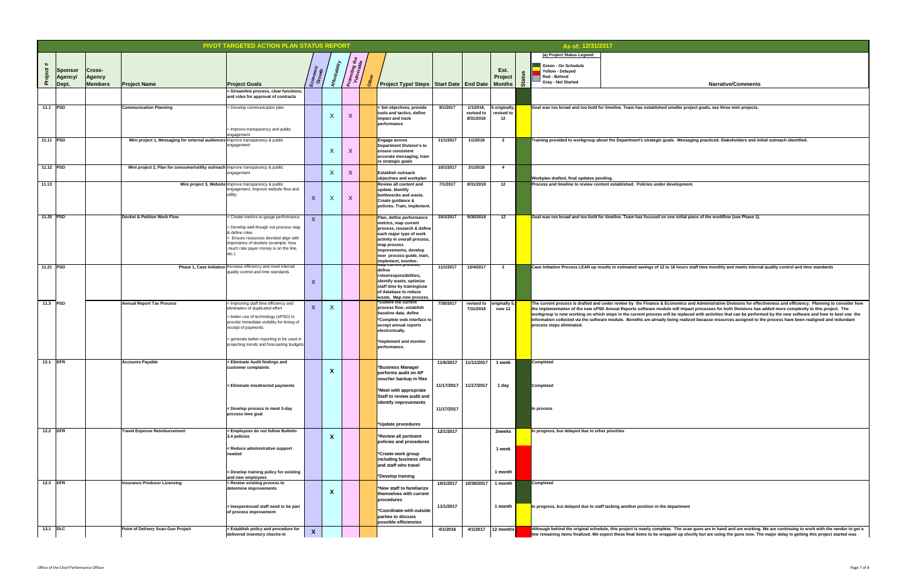|       |                           |                  |                                                                                  | PIVOT TARGETED ACTION PLAN STATUS REPORT                                                                                                                                                                                            |                           |                                                     |                                                                                                                                                                                                                |            |                                      |                                                |    | As of: 12/31/2017                                |                                                                                                                                                                                                                                                                                                                                                                                                                                     |
|-------|---------------------------|------------------|----------------------------------------------------------------------------------|-------------------------------------------------------------------------------------------------------------------------------------------------------------------------------------------------------------------------------------|---------------------------|-----------------------------------------------------|----------------------------------------------------------------------------------------------------------------------------------------------------------------------------------------------------------------|------------|--------------------------------------|------------------------------------------------|----|--------------------------------------------------|-------------------------------------------------------------------------------------------------------------------------------------------------------------------------------------------------------------------------------------------------------------------------------------------------------------------------------------------------------------------------------------------------------------------------------------|
|       |                           |                  |                                                                                  |                                                                                                                                                                                                                                     |                           |                                                     |                                                                                                                                                                                                                |            |                                      |                                                |    | (a) Project Status Legend:                       |                                                                                                                                                                                                                                                                                                                                                                                                                                     |
| #     |                           |                  |                                                                                  |                                                                                                                                                                                                                                     |                           | 2 T<br>ή.<br>ting<br><sup>Srabl</sup>               |                                                                                                                                                                                                                |            |                                      |                                                |    | <b>Green - On Schedule</b>                       |                                                                                                                                                                                                                                                                                                                                                                                                                                     |
|       | Sponsor<br>Agency         | Cross-<br>Agency |                                                                                  |                                                                                                                                                                                                                                     | Economic<br>Growth        |                                                     |                                                                                                                                                                                                                |            |                                      | Est.<br><b>Project</b>                         |    | <b>Yellow - Delayed</b><br><b>Red - Behind</b>   |                                                                                                                                                                                                                                                                                                                                                                                                                                     |
|       | Dept.                     | <b>Members</b>   | <b>Project Name</b>                                                              | <b>Project Goals</b>                                                                                                                                                                                                                |                           | Protec<br>Vuln                                      | Project Type/ Steps   Start Date   End Date   Months                                                                                                                                                           |            |                                      |                                                | က် | <b>Gray - Not Started</b>                        | <b>Narrative/Comments</b>                                                                                                                                                                                                                                                                                                                                                                                                           |
|       |                           |                  |                                                                                  | < Streamline process, clear functions,<br>and roles for approval of contracts                                                                                                                                                       |                           |                                                     |                                                                                                                                                                                                                |            |                                      |                                                |    |                                                  |                                                                                                                                                                                                                                                                                                                                                                                                                                     |
|       | 11.1 PSD                  |                  | <b>Communication Planning</b>                                                    | < Develop communication plan                                                                                                                                                                                                        |                           | $\mathbf{v}$<br>$\lambda$<br>$\boldsymbol{\Lambda}$ | < Set objectives, provide<br>tools and tactics, define<br>impact and track<br>performance                                                                                                                      | 8/1/2017   | 1/1/2018,<br>revised to<br>8/31/2018 | 5 originally,<br>revised to<br>12 <sup>1</sup> |    |                                                  | Goal was too broad and too bold for timeline. Team has established smaller project goals, see three mini projects.                                                                                                                                                                                                                                                                                                                  |
|       |                           |                  |                                                                                  | < Improve transparency and public<br>engagement                                                                                                                                                                                     |                           |                                                     |                                                                                                                                                                                                                |            |                                      |                                                |    |                                                  |                                                                                                                                                                                                                                                                                                                                                                                                                                     |
|       | $\vert$ 11.11 $\vert$ PSD |                  | Mini project 1, Messaging for external audiences Improve transparency & public   | engagement                                                                                                                                                                                                                          |                           | X                                                   | <b>Engage across</b><br><b>Department Division's to</b><br>ensure consistent<br>accurate messaging, train<br>re strategic goals                                                                                | 11/1/2017  | 1/1/2018                             | $\boldsymbol{\mathcal{P}}$                     |    |                                                  | Training provided to workgroup about the Department's strategic goals. Messaging practiced. Stakeholders and initial outreach identified.                                                                                                                                                                                                                                                                                           |
|       | 11.12 PSD                 |                  | Mini project 2, Plan for consumer/utility outreach Improve transparency & public |                                                                                                                                                                                                                                     |                           |                                                     |                                                                                                                                                                                                                | 10/1/2017  | 2/1/2018                             | $\mathbf 4$                                    |    |                                                  |                                                                                                                                                                                                                                                                                                                                                                                                                                     |
|       |                           |                  |                                                                                  | engagement                                                                                                                                                                                                                          |                           | $\overline{X}$<br>$\boldsymbol{\Lambda}$            | <b>Establish outreach</b><br>objectives and workplan                                                                                                                                                           |            |                                      |                                                |    | Workplan drafted, final updates pending.         |                                                                                                                                                                                                                                                                                                                                                                                                                                     |
| 11.13 |                           |                  |                                                                                  | Mini project 3, Website Improve transparency & public<br>engagement, improve website flow and<br>utility                                                                                                                            | $\mathbf{v}$<br>$\Lambda$ | X                                                   | <b>Review all content and</b><br>update. Identify<br>bottlenecks and waste.<br>Create guidance &<br>policies. Train, implement.                                                                                | 7/1/2017   | 8/31/2018                            | 12 <sup>12</sup>                               |    |                                                  | Process and timeline to review content established. Policies under development.                                                                                                                                                                                                                                                                                                                                                     |
|       | 11.20 $ $ PSD             |                  | Docket & Petition Work Flow                                                      | < Create metrics to gauge performance<br>< Develop well-though out process map<br>& define roles<br>< Ensure resources devoted align with<br>importance of dockets (example: how<br>, much rate payer money is on the line,<br>etc. |                           |                                                     | Plan, define performance<br>metrics, map current<br>process, research & define<br>each major type of work<br>activity in overall process,<br>map process<br>improvements, develop<br>new process guide, train, | 10/1/2017  | 9/30/2018                            | 12                                             |    |                                                  | Goal was too broad and too bold for timeline. Team has focused on one initial piece of the workflow (see Phase 1).                                                                                                                                                                                                                                                                                                                  |
|       | $\parallel$ 11.21 PSD     |                  |                                                                                  | <b>Phase 1, Case Initiation</b> Increase efficiency and meet internal<br>quality control and time standards                                                                                                                         | $\overline{\mathbf{v}}$   |                                                     | implement, monitor.<br><b>Map current process,</b><br>define<br>roles/responsibilities,<br><b>didentify waste, optimize</b>                                                                                    | 11/1/2017  | 12/4/2017                            |                                                |    |                                                  | Case Initiation Process LEAN up results in estimated savings of 12 to 16 hours staff time monthly and meets internal quality control and tir                                                                                                                                                                                                                                                                                        |
|       | 11.3 PSD                  |                  | <b>Annual Report Tax Process</b>                                                 | < Improving staff time efficiency and                                                                                                                                                                                               |                           |                                                     | staff time by training/use<br>of database to reduce<br>waste. Map new process.<br>*Outline the current                                                                                                         | 7/30/2017  | revised to  originally 5,            |                                                |    |                                                  | The current process is drafted and under review by the Finance & Economics and Administrative Divisions for effectiveness and efficiency                                                                                                                                                                                                                                                                                            |
|       |                           |                  |                                                                                  | elimination of duplicated effort<br>< better use of technology (ePSD) to<br>provide immediate visibility for timing of<br>receipt of payments.<br>s generate better reporting to be used in                                         | X                         |                                                     | process flow, establish<br>baseline data. define<br>*Complete web interface to<br>accept annual reports<br>electronically.                                                                                     |            | 7/31/2018                            | now 12                                         |    | process steps eliminated                         | the implementation of the new ePSD Annual Reports software module will impact processes for both Divisions has added more complexit<br>workgroup is now working on which steps in the current process will be replaced with activities that can be performed by the new softwai<br>$\vert$ information collected via the software module. Benefits are already being realized because resources assigned to the process have been r |
|       |                           |                  |                                                                                  | projecting trends and forecasting budgets                                                                                                                                                                                           |                           |                                                     | *Implement and monitor<br>performance.                                                                                                                                                                         |            |                                      |                                                |    |                                                  |                                                                                                                                                                                                                                                                                                                                                                                                                                     |
|       | 12.1 <b>DFR</b>           |                  | <b>Accounts Payable</b>                                                          | < Eliminate Audit findings and<br>customer complaints                                                                                                                                                                               |                           | $\boldsymbol{\Lambda}$                              | *Business Manager<br>performs audit on AP<br>voucher backup in files                                                                                                                                           | 11/6/2017  | 11/11/2017                           | 1 week                                         |    | <b>Completed</b>                                 |                                                                                                                                                                                                                                                                                                                                                                                                                                     |
|       |                           |                  |                                                                                  | < Eliminate misdirected payments                                                                                                                                                                                                    |                           |                                                     | *Meet with appropriate<br>Staff to review audit and<br>dentify improvements                                                                                                                                    | 11/17/2017 | 11/17/2017                           | 1 day                                          |    | <b>Completed</b>                                 |                                                                                                                                                                                                                                                                                                                                                                                                                                     |
|       |                           |                  |                                                                                  | < Develop process to meet 3-day<br>process time goal                                                                                                                                                                                |                           |                                                     | *Update procedures                                                                                                                                                                                             | 11/17/2017 |                                      |                                                |    | In process                                       |                                                                                                                                                                                                                                                                                                                                                                                                                                     |
|       | 12.2 $ $ DFR              |                  | <b>Travel Expense Reimbursement</b>                                              | < Employees do not follow Bulletin                                                                                                                                                                                                  |                           |                                                     |                                                                                                                                                                                                                | 12/1/2017  |                                      | 2weeks                                         |    | In progress, but delayed due to other priorities |                                                                                                                                                                                                                                                                                                                                                                                                                                     |
|       |                           |                  |                                                                                  | $3.4$ policies                                                                                                                                                                                                                      |                           | $\boldsymbol{\Lambda}$                              | <b>*Review all pertinent</b><br>policies and procedures                                                                                                                                                        |            |                                      |                                                |    |                                                  |                                                                                                                                                                                                                                                                                                                                                                                                                                     |
|       |                           |                  |                                                                                  | < Reduce administrative support<br>needed                                                                                                                                                                                           |                           |                                                     | <sup>*</sup> Create work group<br> including business office                                                                                                                                                   |            |                                      | 1 week                                         |    |                                                  |                                                                                                                                                                                                                                                                                                                                                                                                                                     |
|       |                           |                  |                                                                                  | < Develop training policy for existing<br>and new employees                                                                                                                                                                         |                           |                                                     | and staff who travel<br>*Develop training                                                                                                                                                                      |            |                                      | 1 month                                        |    |                                                  |                                                                                                                                                                                                                                                                                                                                                                                                                                     |
|       | 12.3 <b>DFR</b>           |                  | <b>Insurance Producer Licensing</b>                                              | < Review existing process to<br>determine improvements                                                                                                                                                                              |                           | $\boldsymbol{\Lambda}$                              | *New staff to familiarize<br>themselves with current<br>procedures                                                                                                                                             | 10/1/2017  | 10/30/2017                           | 1 month                                        |    | <b>Completed</b>                                 |                                                                                                                                                                                                                                                                                                                                                                                                                                     |
|       |                           |                  |                                                                                  | <l be="" need="" nexperienced="" part<br="" staff="" to="">of process improvement</l>                                                                                                                                               |                           |                                                     | *Coordinate with outside<br>parties to discuss<br>possible efficiencies                                                                                                                                        | 11/1/2017  |                                      | 1 month                                        |    |                                                  | In progress, but delayed due to staff tacking another position in the department                                                                                                                                                                                                                                                                                                                                                    |
|       | 13.1 $\vert$ DLC          |                  | Point of Delivery Scan-Gun Project                                               | < Establish policy and procedure for<br>delivered inventory cheche-in                                                                                                                                                               | $\mathbf{X}$              |                                                     |                                                                                                                                                                                                                | 4/1/2016   | 4/1/2017                             | 12 months $\vert$                              |    |                                                  | Although behind the original schedule, this project is nearly complete. The scan guns are in hand and are working. We are continuing to v<br>few remaining items finalized. We expect these final items to be wrapped up shortly but are using the guns now. The major delay in getting                                                                                                                                             |

| As of: 12/31/2017                                |                                                                                                                                                                                                                                                                                                                                |
|--------------------------------------------------|--------------------------------------------------------------------------------------------------------------------------------------------------------------------------------------------------------------------------------------------------------------------------------------------------------------------------------|
| (a) Project Status Legend:                       |                                                                                                                                                                                                                                                                                                                                |
| <b>Green - On Schedule</b>                       |                                                                                                                                                                                                                                                                                                                                |
| <b>Yellow - Delayed</b><br><b>Red - Behind</b>   |                                                                                                                                                                                                                                                                                                                                |
| <b>Gray - Not Started</b>                        | <b>Narrative/Comments</b>                                                                                                                                                                                                                                                                                                      |
|                                                  |                                                                                                                                                                                                                                                                                                                                |
|                                                  |                                                                                                                                                                                                                                                                                                                                |
|                                                  | Goal was too broad and too bold for timeline. Team has established smaller project goals, see three mini projects.                                                                                                                                                                                                             |
|                                                  |                                                                                                                                                                                                                                                                                                                                |
|                                                  |                                                                                                                                                                                                                                                                                                                                |
|                                                  |                                                                                                                                                                                                                                                                                                                                |
|                                                  | Training provided to workgroup about the Department's strategic goals. Messaging practiced. Stakeholders and initial outreach identified.                                                                                                                                                                                      |
|                                                  |                                                                                                                                                                                                                                                                                                                                |
|                                                  |                                                                                                                                                                                                                                                                                                                                |
|                                                  |                                                                                                                                                                                                                                                                                                                                |
| Workplan drafted, final updates pending.         | Process and timeline to review content established. Policies under development.                                                                                                                                                                                                                                                |
|                                                  |                                                                                                                                                                                                                                                                                                                                |
|                                                  |                                                                                                                                                                                                                                                                                                                                |
|                                                  |                                                                                                                                                                                                                                                                                                                                |
|                                                  | Goal was too broad and too bold for timeline. Team has focused on one initial piece of the workflow (see Phase 1).                                                                                                                                                                                                             |
|                                                  |                                                                                                                                                                                                                                                                                                                                |
|                                                  |                                                                                                                                                                                                                                                                                                                                |
|                                                  |                                                                                                                                                                                                                                                                                                                                |
|                                                  |                                                                                                                                                                                                                                                                                                                                |
|                                                  |                                                                                                                                                                                                                                                                                                                                |
|                                                  | Case Initiation Process LEAN up results in estimated savings of 12 to 16 hours staff time monthly and meets internal quality control and time standards                                                                                                                                                                        |
|                                                  |                                                                                                                                                                                                                                                                                                                                |
|                                                  |                                                                                                                                                                                                                                                                                                                                |
|                                                  |                                                                                                                                                                                                                                                                                                                                |
|                                                  | The current process is drafted and under review by the Finance & Economics and Administrative Divisions for effectiveness and efficiency. Planning to consider how                                                                                                                                                             |
|                                                  | the implementation of the new ePSD Annual Reports software module will impact processes for both Divisions has added more complexity to this project. The<br>workgroup is now working on which steps in the current process will be replaced with activities that can be performed by the new software and how to best use the |
| process steps eliminated.                        | information collected via the software module. Benefits are already being realized because resources assigned to the process have been realigned and redundant                                                                                                                                                                 |
|                                                  |                                                                                                                                                                                                                                                                                                                                |
|                                                  |                                                                                                                                                                                                                                                                                                                                |
|                                                  |                                                                                                                                                                                                                                                                                                                                |
|                                                  |                                                                                                                                                                                                                                                                                                                                |
| <b>Completed</b>                                 |                                                                                                                                                                                                                                                                                                                                |
|                                                  |                                                                                                                                                                                                                                                                                                                                |
| <b>Completed</b>                                 |                                                                                                                                                                                                                                                                                                                                |
|                                                  |                                                                                                                                                                                                                                                                                                                                |
|                                                  |                                                                                                                                                                                                                                                                                                                                |
| In process                                       |                                                                                                                                                                                                                                                                                                                                |
|                                                  |                                                                                                                                                                                                                                                                                                                                |
| In progress, but delayed due to other priorities |                                                                                                                                                                                                                                                                                                                                |
|                                                  |                                                                                                                                                                                                                                                                                                                                |
|                                                  |                                                                                                                                                                                                                                                                                                                                |
|                                                  |                                                                                                                                                                                                                                                                                                                                |
|                                                  |                                                                                                                                                                                                                                                                                                                                |
|                                                  |                                                                                                                                                                                                                                                                                                                                |
| <b>Completed</b>                                 |                                                                                                                                                                                                                                                                                                                                |
|                                                  |                                                                                                                                                                                                                                                                                                                                |
|                                                  |                                                                                                                                                                                                                                                                                                                                |
|                                                  | In progress, but delayed due to staff tacking another position in the department                                                                                                                                                                                                                                               |
|                                                  |                                                                                                                                                                                                                                                                                                                                |
|                                                  | Although behind the original schedule, this project is nearly complete. The scan guns are in hand and are working. We are continuing to work with the vendor to get a                                                                                                                                                          |
|                                                  | few remaining items finalized. We expect these final items to be wrapped up shortly but are using the guns now. The major delay in getting this project started was                                                                                                                                                            |